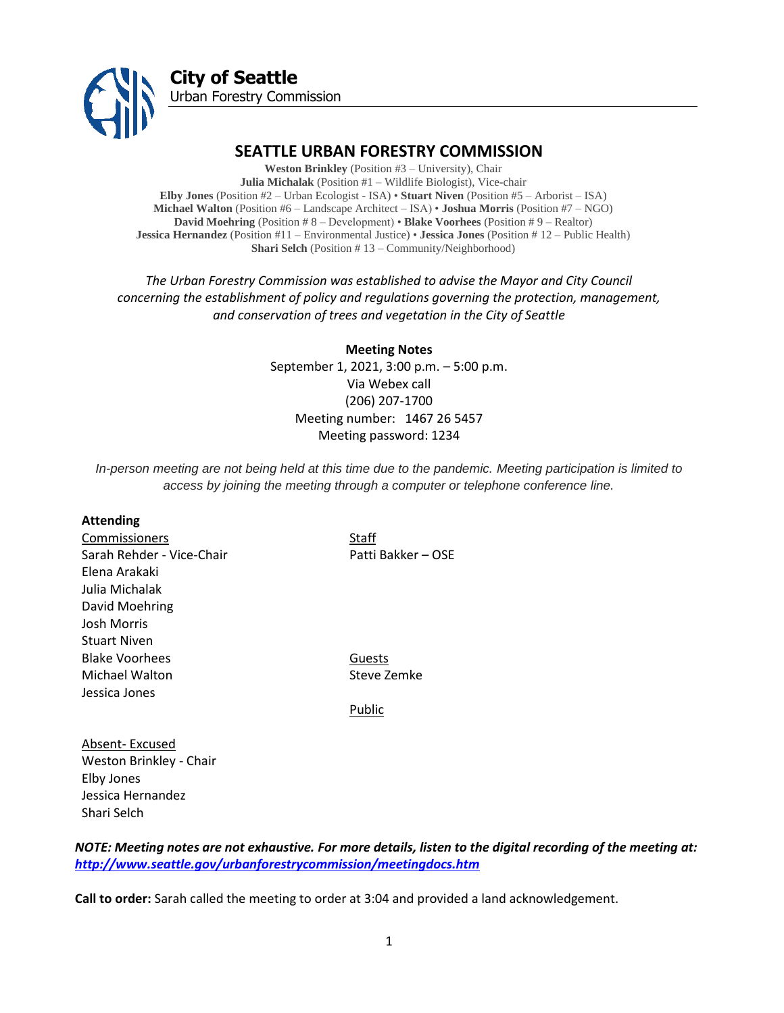

## **SEATTLE URBAN FORESTRY COMMISSION**

**Weston Brinkley** (Position #3 – University), Chair **Julia Michalak** (Position #1 – Wildlife Biologist), Vice-chair **Elby Jones** (Position #2 – Urban Ecologist - ISA) • **Stuart Niven** (Position #5 – Arborist – ISA) **Michael Walton** (Position #6 – Landscape Architect – ISA) • **Joshua Morris** (Position #7 – NGO) **David Moehring** (Position # 8 – Development) • **Blake Voorhees** (Position # 9 – Realtor) **Jessica Hernandez** (Position #11 – Environmental Justice) • **Jessica Jones** (Position # 12 – Public Health) **Shari Selch** (Position #13 – Community/Neighborhood)

*The Urban Forestry Commission was established to advise the Mayor and City Council concerning the establishment of policy and regulations governing the protection, management, and conservation of trees and vegetation in the City of Seattle*

> **Meeting Notes** September 1, 2021, 3:00 p.m. – 5:00 p.m. Via Webex call (206) 207-1700 Meeting number: 1467 26 5457 Meeting password: 1234

*In-person meeting are not being held at this time due to the pandemic. Meeting participation is limited to access by joining the meeting through a computer or telephone conference line.*

### **Attending**

Commissioners Staff Sarah Rehder - Vice-Chair Patti Bakker – OSE Elena Arakaki Julia Michalak David Moehring Josh Morris Stuart Niven Blake Voorhees Guests Michael Walton Steve Zemke Jessica Jones

Public

Absent- Excused Weston Brinkley - Chair Elby Jones Jessica Hernandez Shari Selch

*NOTE: Meeting notes are not exhaustive. For more details, listen to the digital recording of the meeting at: <http://www.seattle.gov/urbanforestrycommission/meetingdocs.htm>*

**Call to order:** Sarah called the meeting to order at 3:04 and provided a land acknowledgement.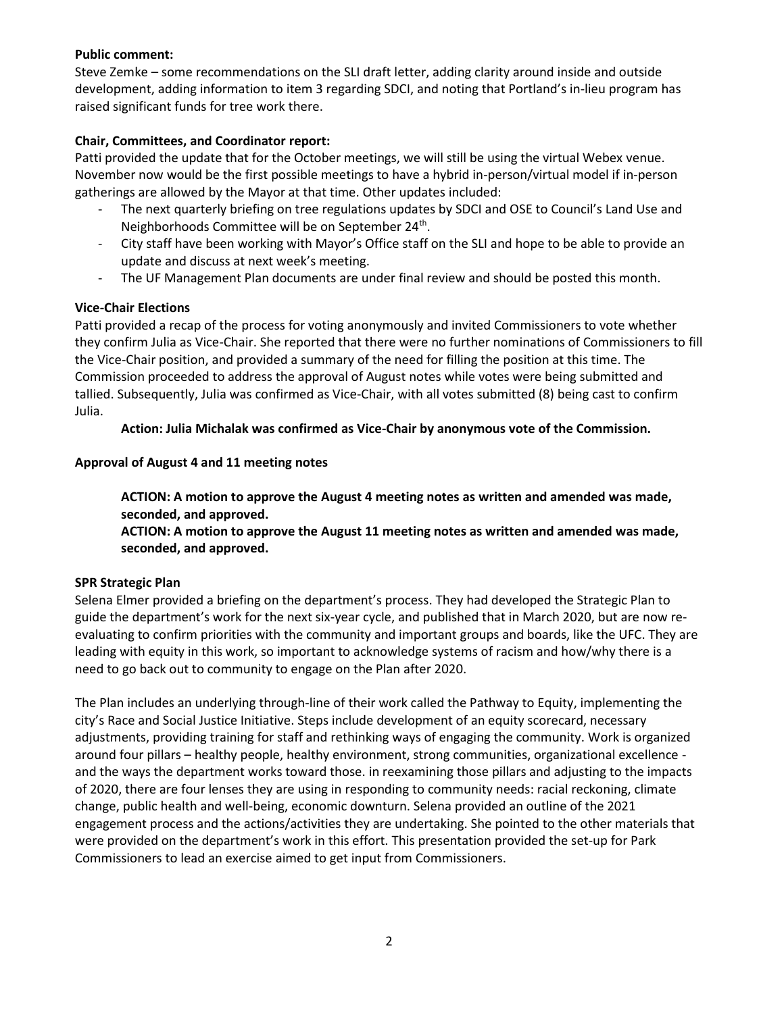### **Public comment:**

Steve Zemke – some recommendations on the SLI draft letter, adding clarity around inside and outside development, adding information to item 3 regarding SDCI, and noting that Portland's in-lieu program has raised significant funds for tree work there.

## **Chair, Committees, and Coordinator report:**

Patti provided the update that for the October meetings, we will still be using the virtual Webex venue. November now would be the first possible meetings to have a hybrid in-person/virtual model if in-person gatherings are allowed by the Mayor at that time. Other updates included:

- The next quarterly briefing on tree regulations updates by SDCI and OSE to Council's Land Use and Neighborhoods Committee will be on September 24<sup>th</sup>.
- City staff have been working with Mayor's Office staff on the SLI and hope to be able to provide an update and discuss at next week's meeting.
- The UF Management Plan documents are under final review and should be posted this month.

# **Vice-Chair Elections**

Patti provided a recap of the process for voting anonymously and invited Commissioners to vote whether they confirm Julia as Vice-Chair. She reported that there were no further nominations of Commissioners to fill the Vice-Chair position, and provided a summary of the need for filling the position at this time. The Commission proceeded to address the approval of August notes while votes were being submitted and tallied. Subsequently, Julia was confirmed as Vice-Chair, with all votes submitted (8) being cast to confirm Julia.

# **Action: Julia Michalak was confirmed as Vice-Chair by anonymous vote of the Commission.**

# **Approval of August 4 and 11 meeting notes**

**ACTION: A motion to approve the August 4 meeting notes as written and amended was made, seconded, and approved.** 

**ACTION: A motion to approve the August 11 meeting notes as written and amended was made, seconded, and approved.** 

## **SPR Strategic Plan**

Selena Elmer provided a briefing on the department's process. They had developed the Strategic Plan to guide the department's work for the next six-year cycle, and published that in March 2020, but are now reevaluating to confirm priorities with the community and important groups and boards, like the UFC. They are leading with equity in this work, so important to acknowledge systems of racism and how/why there is a need to go back out to community to engage on the Plan after 2020.

The Plan includes an underlying through-line of their work called the Pathway to Equity, implementing the city's Race and Social Justice Initiative. Steps include development of an equity scorecard, necessary adjustments, providing training for staff and rethinking ways of engaging the community. Work is organized around four pillars – healthy people, healthy environment, strong communities, organizational excellence and the ways the department works toward those. in reexamining those pillars and adjusting to the impacts of 2020, there are four lenses they are using in responding to community needs: racial reckoning, climate change, public health and well-being, economic downturn. Selena provided an outline of the 2021 engagement process and the actions/activities they are undertaking. She pointed to the other materials that were provided on the department's work in this effort. This presentation provided the set-up for Park Commissioners to lead an exercise aimed to get input from Commissioners.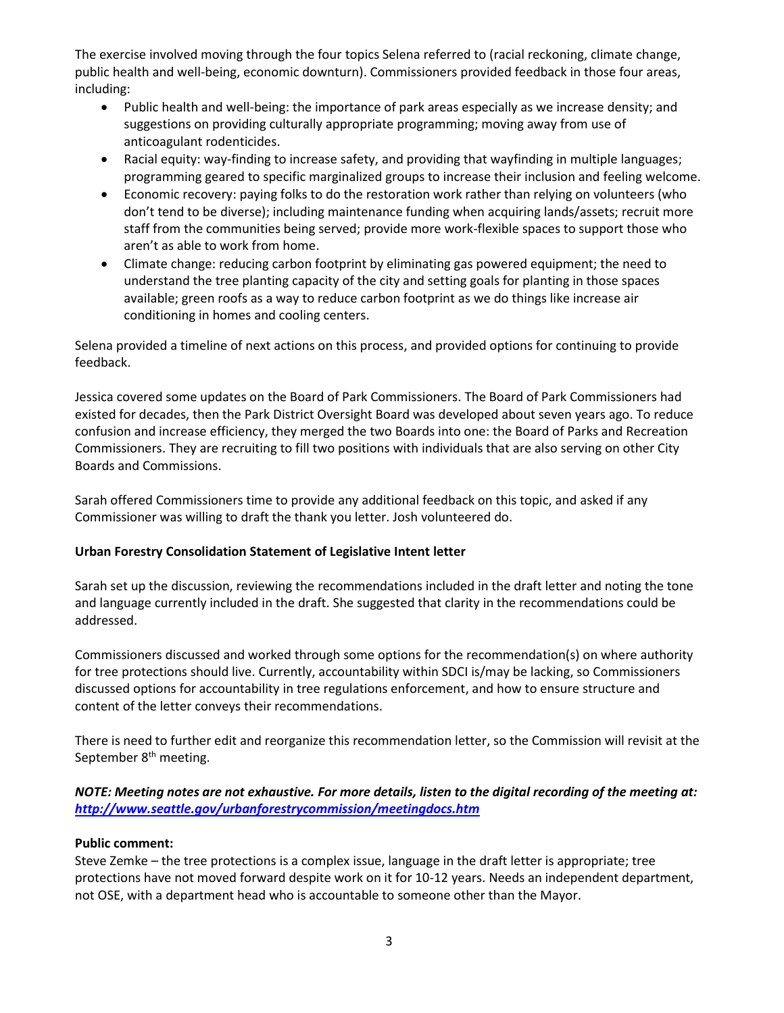The exercise involved moving through the four topics Selena referred to (racial reckoning, climate change, public health and well-being, economic downturn). Commissioners provided feedback in those four areas, including:

- Public health and well-being: the importance of park areas especially as we increase density; and suggestions on providing culturally appropriate programming; moving away from use of anticoagulant rodenticides.
- Racial equity: way-finding to increase safety, and providing that wayfinding in multiple languages; programming geared to specific marginalized groups to increase their inclusion and feeling welcome.
- Economic recovery: paying folks to do the restoration work rather than relying on volunteers (who don't tend to be diverse); including maintenance funding when acquiring lands/assets; recruit more staff from the communities being served; provide more work-flexible spaces to support those who aren't as able to work from home.
- Climate change: reducing carbon footprint by eliminating gas powered equipment; the need to understand the tree planting capacity of the city and setting goals for planting in those spaces available; green roofs as a way to reduce carbon footprint as we do things like increase air conditioning in homes and cooling centers.

Selena provided a timeline of next actions on this process, and provided options for continuing to provide feedback.

Jessica covered some updates on the Board of Park Commissioners. The Board of Park Commissioners had existed for decades, then the Park District Oversight Board was developed about seven years ago. To reduce confusion and increase efficiency, they merged the two Boards into one: the Board of Parks and Recreation Commissioners. They are recruiting to fill two positions with individuals that are also serving on other City Boards and Commissions.

Sarah offered Commissioners time to provide any additional feedback on this topic, and asked if any Commissioner was willing to draft the thank you letter. Josh volunteered do.

## **Urban Forestry Consolidation Statement of Legislative Intent letter**

Sarah set up the discussion, reviewing the recommendations included in the draft letter and noting the tone and language currently included in the draft. She suggested that clarity in the recommendations could be addressed.

Commissioners discussed and worked through some options for the recommendation(s) on where authority for tree protections should live. Currently, accountability within SDCI is/may be lacking, so Commissioners discussed options for accountability in tree regulations enforcement, and how to ensure structure and content of the letter conveys their recommendations.

There is need to further edit and reorganize this recommendation letter, so the Commission will revisit at the September 8<sup>th</sup> meeting.

## *NOTE: Meeting notes are not exhaustive. For more details, listen to the digital recording of the meeting at: <http://www.seattle.gov/urbanforestrycommission/meetingdocs.htm>*

### **Public comment:**

Steve Zemke – the tree protections is a complex issue, language in the draft letter is appropriate; tree protections have not moved forward despite work on it for 10-12 years. Needs an independent department, not OSE, with a department head who is accountable to someone other than the Mayor.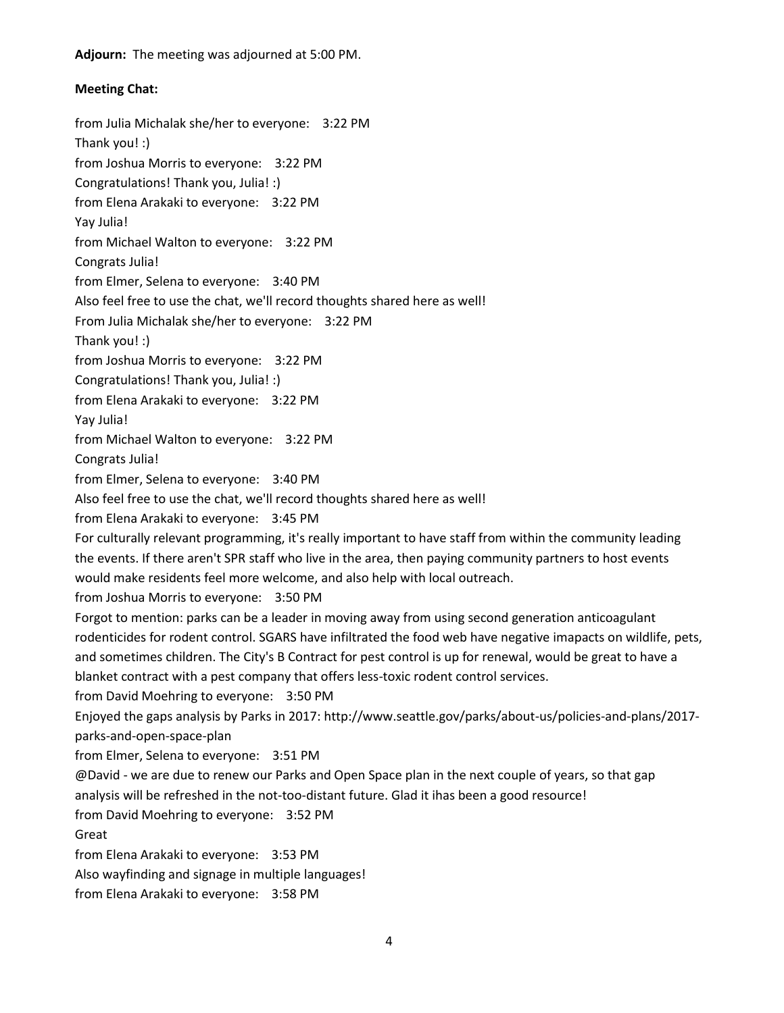**Adjourn:** The meeting was adjourned at 5:00 PM.

## **Meeting Chat:**

from Julia Michalak she/her to everyone: 3:22 PM Thank you! :) from Joshua Morris to everyone: 3:22 PM Congratulations! Thank you, Julia! :) from Elena Arakaki to everyone: 3:22 PM Yay Julia! from Michael Walton to everyone: 3:22 PM Congrats Julia! from Elmer, Selena to everyone: 3:40 PM Also feel free to use the chat, we'll record thoughts shared here as well! From Julia Michalak she/her to everyone: 3:22 PM Thank you! :) from Joshua Morris to everyone: 3:22 PM Congratulations! Thank you, Julia! :) from Elena Arakaki to everyone: 3:22 PM Yay Julia! from Michael Walton to everyone: 3:22 PM Congrats Julia! from Elmer, Selena to everyone: 3:40 PM Also feel free to use the chat, we'll record thoughts shared here as well! from Elena Arakaki to everyone: 3:45 PM For culturally relevant programming, it's really important to have staff from within the community leading the events. If there aren't SPR staff who live in the area, then paying community partners to host events would make residents feel more welcome, and also help with local outreach. from Joshua Morris to everyone: 3:50 PM Forgot to mention: parks can be a leader in moving away from using second generation anticoagulant rodenticides for rodent control. SGARS have infiltrated the food web have negative imapacts on wildlife, pets, and sometimes children. The City's B Contract for pest control is up for renewal, would be great to have a blanket contract with a pest company that offers less-toxic rodent control services. from David Moehring to everyone: 3:50 PM Enjoyed the gaps analysis by Parks in 2017: http://www.seattle.gov/parks/about-us/policies-and-plans/2017 parks-and-open-space-plan from Elmer, Selena to everyone: 3:51 PM @David - we are due to renew our Parks and Open Space plan in the next couple of years, so that gap analysis will be refreshed in the not-too-distant future. Glad it ihas been a good resource! from David Moehring to everyone: 3:52 PM Great from Elena Arakaki to everyone: 3:53 PM Also wayfinding and signage in multiple languages! from Elena Arakaki to everyone: 3:58 PM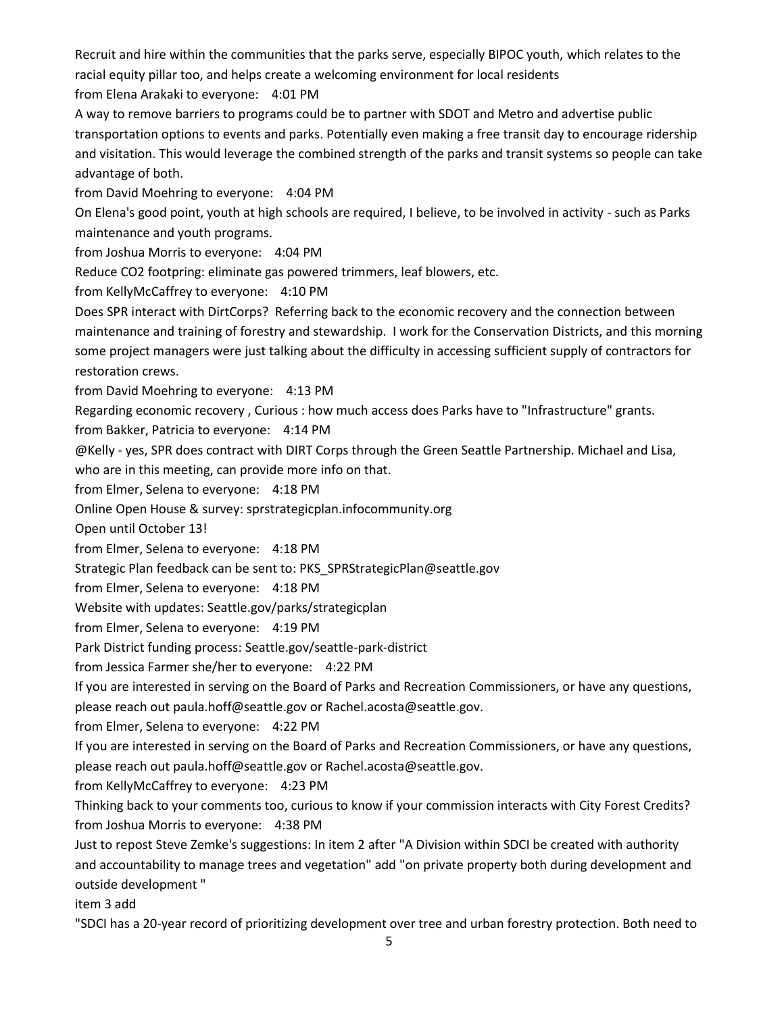Recruit and hire within the communities that the parks serve, especially BIPOC youth, which relates to the racial equity pillar too, and helps create a welcoming environment for local residents

from Elena Arakaki to everyone: 4:01 PM

A way to remove barriers to programs could be to partner with SDOT and Metro and advertise public transportation options to events and parks. Potentially even making a free transit day to encourage ridership and visitation. This would leverage the combined strength of the parks and transit systems so people can take advantage of both.

from David Moehring to everyone: 4:04 PM

On Elena's good point, youth at high schools are required, I believe, to be involved in activity - such as Parks maintenance and youth programs.

from Joshua Morris to everyone: 4:04 PM

Reduce CO2 footpring: eliminate gas powered trimmers, leaf blowers, etc.

from KellyMcCaffrey to everyone: 4:10 PM

Does SPR interact with DirtCorps? Referring back to the economic recovery and the connection between maintenance and training of forestry and stewardship. I work for the Conservation Districts, and this morning some project managers were just talking about the difficulty in accessing sufficient supply of contractors for restoration crews.

from David Moehring to everyone: 4:13 PM

Regarding economic recovery , Curious : how much access does Parks have to "Infrastructure" grants.

from Bakker, Patricia to everyone: 4:14 PM

@Kelly - yes, SPR does contract with DIRT Corps through the Green Seattle Partnership. Michael and Lisa,

who are in this meeting, can provide more info on that.

from Elmer, Selena to everyone: 4:18 PM

Online Open House & survey: sprstrategicplan.infocommunity.org

Open until October 13!

from Elmer, Selena to everyone: 4:18 PM

Strategic Plan feedback can be sent to: PKS\_SPRStrategicPlan@seattle.gov

from Elmer, Selena to everyone: 4:18 PM

Website with updates: Seattle.gov/parks/strategicplan

from Elmer, Selena to everyone: 4:19 PM

Park District funding process: Seattle.gov/seattle-park-district

from Jessica Farmer she/her to everyone: 4:22 PM

If you are interested in serving on the Board of Parks and Recreation Commissioners, or have any questions,

please reach out paula.hoff@seattle.gov or Rachel.acosta@seattle.gov.

from Elmer, Selena to everyone: 4:22 PM

If you are interested in serving on the Board of Parks and Recreation Commissioners, or have any questions, please reach out paula.hoff@seattle.gov or Rachel.acosta@seattle.gov.

from KellyMcCaffrey to everyone: 4:23 PM

Thinking back to your comments too, curious to know if your commission interacts with City Forest Credits? from Joshua Morris to everyone: 4:38 PM

Just to repost Steve Zemke's suggestions: In item 2 after "A Division within SDCI be created with authority and accountability to manage trees and vegetation" add "on private property both during development and outside development "

item 3 add

"SDCI has a 20-year record of prioritizing development over tree and urban forestry protection. Both need to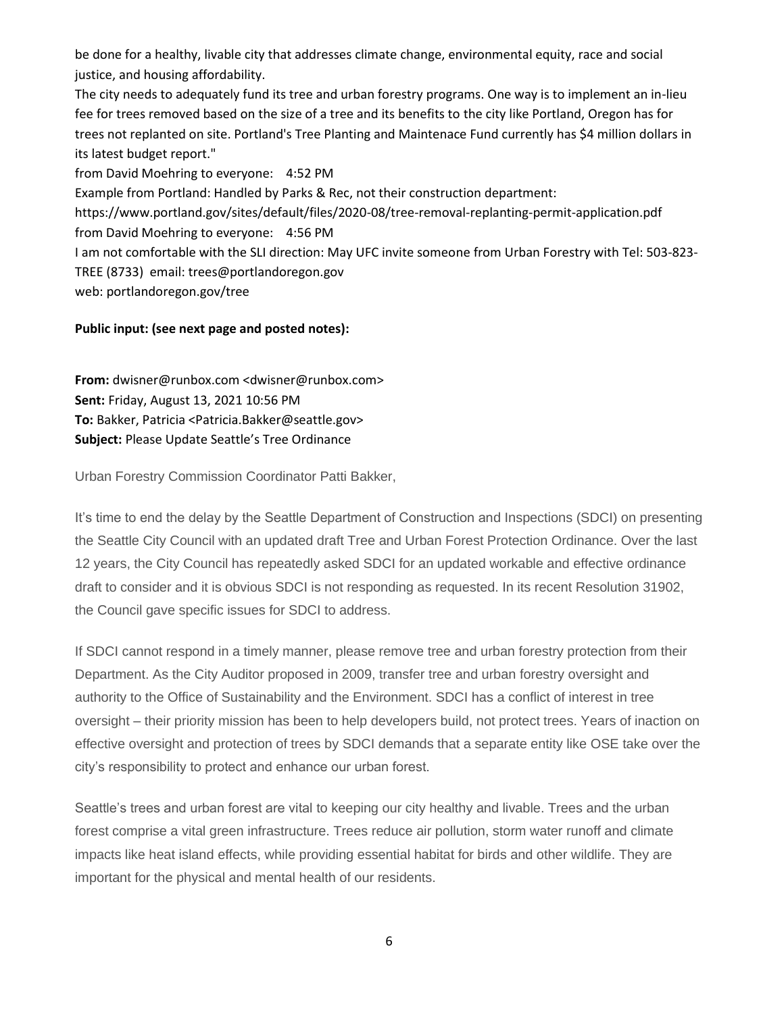be done for a healthy, livable city that addresses climate change, environmental equity, race and social justice, and housing affordability.

The city needs to adequately fund its tree and urban forestry programs. One way is to implement an in-lieu fee for trees removed based on the size of a tree and its benefits to the city like Portland, Oregon has for trees not replanted on site. Portland's Tree Planting and Maintenace Fund currently has \$4 million dollars in its latest budget report."

from David Moehring to everyone: 4:52 PM

Example from Portland: Handled by Parks & Rec, not their construction department:

https://www.portland.gov/sites/default/files/2020-08/tree-removal-replanting-permit-application.pdf from David Moehring to everyone: 4:56 PM

I am not comfortable with the SLI direction: May UFC invite someone from Urban Forestry with Tel: 503-823- TREE (8733) email: trees@portlandoregon.gov

web: portlandoregon.gov/tree

## **Public input: (see next page and posted notes):**

**From:** dwisner@runbox.com <dwisner@runbox.com> **Sent:** Friday, August 13, 2021 10:56 PM **To:** Bakker, Patricia <Patricia.Bakker@seattle.gov> **Subject:** Please Update Seattle's Tree Ordinance

Urban Forestry Commission Coordinator Patti Bakker,

It's time to end the delay by the Seattle Department of Construction and Inspections (SDCI) on presenting the Seattle City Council with an updated draft Tree and Urban Forest Protection Ordinance. Over the last 12 years, the City Council has repeatedly asked SDCI for an updated workable and effective ordinance draft to consider and it is obvious SDCI is not responding as requested. In its recent Resolution 31902, the Council gave specific issues for SDCI to address.

If SDCI cannot respond in a timely manner, please remove tree and urban forestry protection from their Department. As the City Auditor proposed in 2009, transfer tree and urban forestry oversight and authority to the Office of Sustainability and the Environment. SDCI has a conflict of interest in tree oversight – their priority mission has been to help developers build, not protect trees. Years of inaction on effective oversight and protection of trees by SDCI demands that a separate entity like OSE take over the city's responsibility to protect and enhance our urban forest.

Seattle's trees and urban forest are vital to keeping our city healthy and livable. Trees and the urban forest comprise a vital green infrastructure. Trees reduce air pollution, storm water runoff and climate impacts like heat island effects, while providing essential habitat for birds and other wildlife. They are important for the physical and mental health of our residents.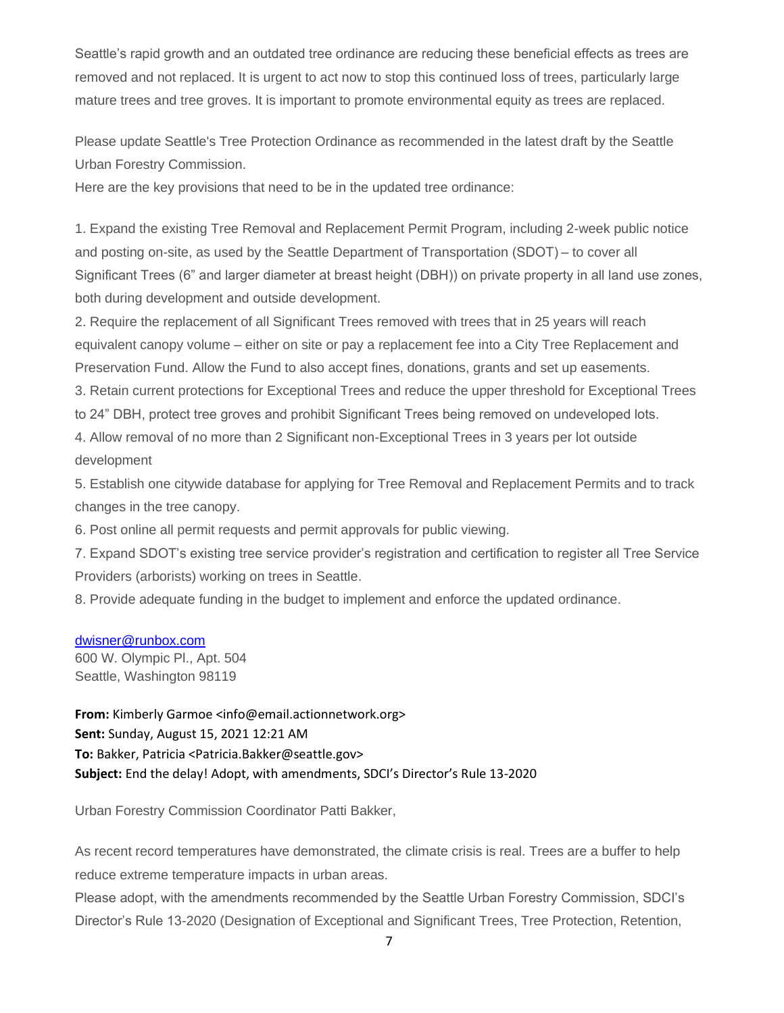Seattle's rapid growth and an outdated tree ordinance are reducing these beneficial effects as trees are removed and not replaced. It is urgent to act now to stop this continued loss of trees, particularly large mature trees and tree groves. It is important to promote environmental equity as trees are replaced.

Please update Seattle's Tree Protection Ordinance as recommended in the latest draft by the Seattle Urban Forestry Commission.

Here are the key provisions that need to be in the updated tree ordinance:

1. Expand the existing Tree Removal and Replacement Permit Program, including 2-week public notice and posting on-site, as used by the Seattle Department of Transportation (SDOT) – to cover all Significant Trees (6" and larger diameter at breast height (DBH)) on private property in all land use zones, both during development and outside development.

2. Require the replacement of all Significant Trees removed with trees that in 25 years will reach equivalent canopy volume – either on site or pay a replacement fee into a City Tree Replacement and Preservation Fund. Allow the Fund to also accept fines, donations, grants and set up easements.

3. Retain current protections for Exceptional Trees and reduce the upper threshold for Exceptional Trees to 24" DBH, protect tree groves and prohibit Significant Trees being removed on undeveloped lots.

4. Allow removal of no more than 2 Significant non-Exceptional Trees in 3 years per lot outside development

5. Establish one citywide database for applying for Tree Removal and Replacement Permits and to track changes in the tree canopy.

6. Post online all permit requests and permit approvals for public viewing.

7. Expand SDOT's existing tree service provider's registration and certification to register all Tree Service Providers (arborists) working on trees in Seattle.

8. Provide adequate funding in the budget to implement and enforce the updated ordinance.

### [dwisner@runbox.com](mailto:dwisner@runbox.com)

600 W. Olympic Pl., Apt. 504 Seattle, Washington 98119

**From:** Kimberly Garmoe <info@email.actionnetwork.org> **Sent:** Sunday, August 15, 2021 12:21 AM **To:** Bakker, Patricia <Patricia.Bakker@seattle.gov> **Subject:** End the delay! Adopt, with amendments, SDCI's Director's Rule 13-2020

Urban Forestry Commission Coordinator Patti Bakker,

As recent record temperatures have demonstrated, the climate crisis is real. Trees are a buffer to help reduce extreme temperature impacts in urban areas.

Please adopt, with the amendments recommended by the Seattle Urban Forestry Commission, SDCI's Director's Rule 13-2020 (Designation of Exceptional and Significant Trees, Tree Protection, Retention,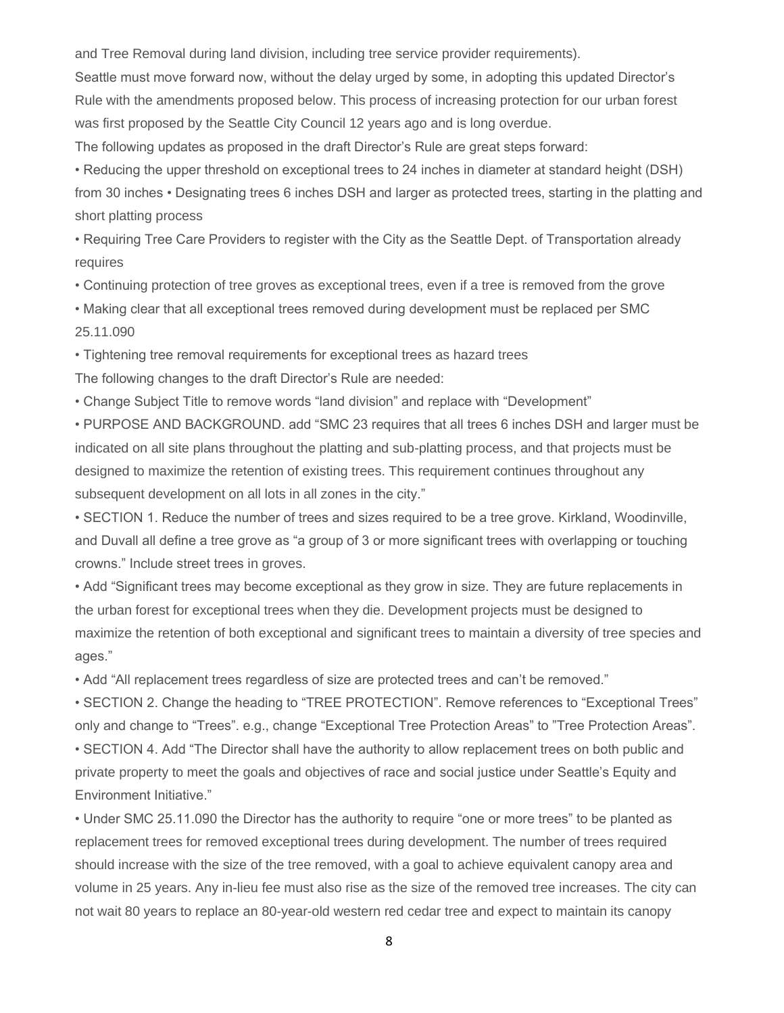and Tree Removal during land division, including tree service provider requirements).

Seattle must move forward now, without the delay urged by some, in adopting this updated Director's Rule with the amendments proposed below. This process of increasing protection for our urban forest was first proposed by the Seattle City Council 12 years ago and is long overdue.

The following updates as proposed in the draft Director's Rule are great steps forward:

• Reducing the upper threshold on exceptional trees to 24 inches in diameter at standard height (DSH) from 30 inches • Designating trees 6 inches DSH and larger as protected trees, starting in the platting and short platting process

• Requiring Tree Care Providers to register with the City as the Seattle Dept. of Transportation already requires

• Continuing protection of tree groves as exceptional trees, even if a tree is removed from the grove

• Making clear that all exceptional trees removed during development must be replaced per SMC 25.11.090

• Tightening tree removal requirements for exceptional trees as hazard trees

The following changes to the draft Director's Rule are needed:

• Change Subject Title to remove words "land division" and replace with "Development"

• PURPOSE AND BACKGROUND. add "SMC 23 requires that all trees 6 inches DSH and larger must be indicated on all site plans throughout the platting and sub-platting process, and that projects must be designed to maximize the retention of existing trees. This requirement continues throughout any subsequent development on all lots in all zones in the city."

• SECTION 1. Reduce the number of trees and sizes required to be a tree grove. Kirkland, Woodinville, and Duvall all define a tree grove as "a group of 3 or more significant trees with overlapping or touching crowns." Include street trees in groves.

• Add "Significant trees may become exceptional as they grow in size. They are future replacements in the urban forest for exceptional trees when they die. Development projects must be designed to maximize the retention of both exceptional and significant trees to maintain a diversity of tree species and ages."

• Add "All replacement trees regardless of size are protected trees and can't be removed."

• SECTION 2. Change the heading to "TREE PROTECTION". Remove references to "Exceptional Trees" only and change to "Trees". e.g., change "Exceptional Tree Protection Areas" to "Tree Protection Areas". • SECTION 4. Add "The Director shall have the authority to allow replacement trees on both public and

private property to meet the goals and objectives of race and social justice under Seattle's Equity and Environment Initiative."

• Under SMC 25.11.090 the Director has the authority to require "one or more trees" to be planted as replacement trees for removed exceptional trees during development. The number of trees required should increase with the size of the tree removed, with a goal to achieve equivalent canopy area and volume in 25 years. Any in-lieu fee must also rise as the size of the removed tree increases. The city can not wait 80 years to replace an 80-year-old western red cedar tree and expect to maintain its canopy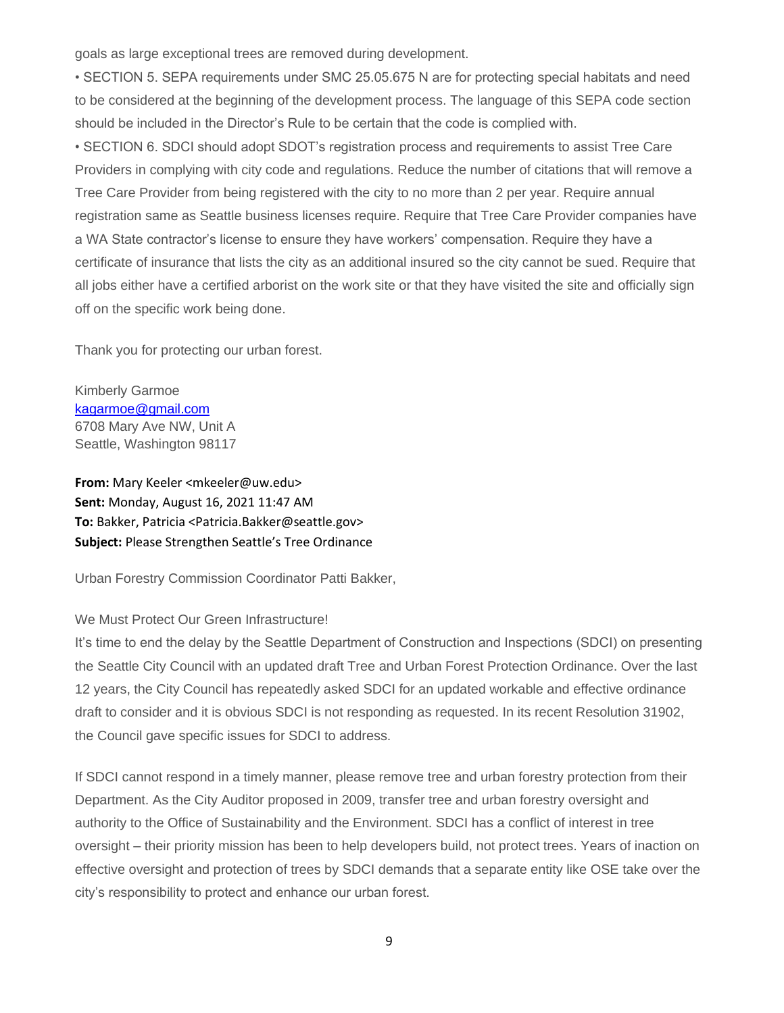goals as large exceptional trees are removed during development.

• SECTION 5. SEPA requirements under SMC 25.05.675 N are for protecting special habitats and need to be considered at the beginning of the development process. The language of this SEPA code section should be included in the Director's Rule to be certain that the code is complied with.

• SECTION 6. SDCI should adopt SDOT's registration process and requirements to assist Tree Care Providers in complying with city code and regulations. Reduce the number of citations that will remove a Tree Care Provider from being registered with the city to no more than 2 per year. Require annual registration same as Seattle business licenses require. Require that Tree Care Provider companies have a WA State contractor's license to ensure they have workers' compensation. Require they have a certificate of insurance that lists the city as an additional insured so the city cannot be sued. Require that all jobs either have a certified arborist on the work site or that they have visited the site and officially sign off on the specific work being done.

Thank you for protecting our urban forest.

Kimberly Garmoe [kagarmoe@gmail.com](mailto:kagarmoe@gmail.com) 6708 Mary Ave NW, Unit A Seattle, Washington 98117

**From:** Mary Keeler <mkeeler@uw.edu> **Sent:** Monday, August 16, 2021 11:47 AM **To:** Bakker, Patricia <Patricia.Bakker@seattle.gov> **Subject:** Please Strengthen Seattle's Tree Ordinance

Urban Forestry Commission Coordinator Patti Bakker,

## We Must Protect Our Green Infrastructure!

It's time to end the delay by the Seattle Department of Construction and Inspections (SDCI) on presenting the Seattle City Council with an updated draft Tree and Urban Forest Protection Ordinance. Over the last 12 years, the City Council has repeatedly asked SDCI for an updated workable and effective ordinance draft to consider and it is obvious SDCI is not responding as requested. In its recent Resolution 31902, the Council gave specific issues for SDCI to address.

If SDCI cannot respond in a timely manner, please remove tree and urban forestry protection from their Department. As the City Auditor proposed in 2009, transfer tree and urban forestry oversight and authority to the Office of Sustainability and the Environment. SDCI has a conflict of interest in tree oversight – their priority mission has been to help developers build, not protect trees. Years of inaction on effective oversight and protection of trees by SDCI demands that a separate entity like OSE take over the city's responsibility to protect and enhance our urban forest.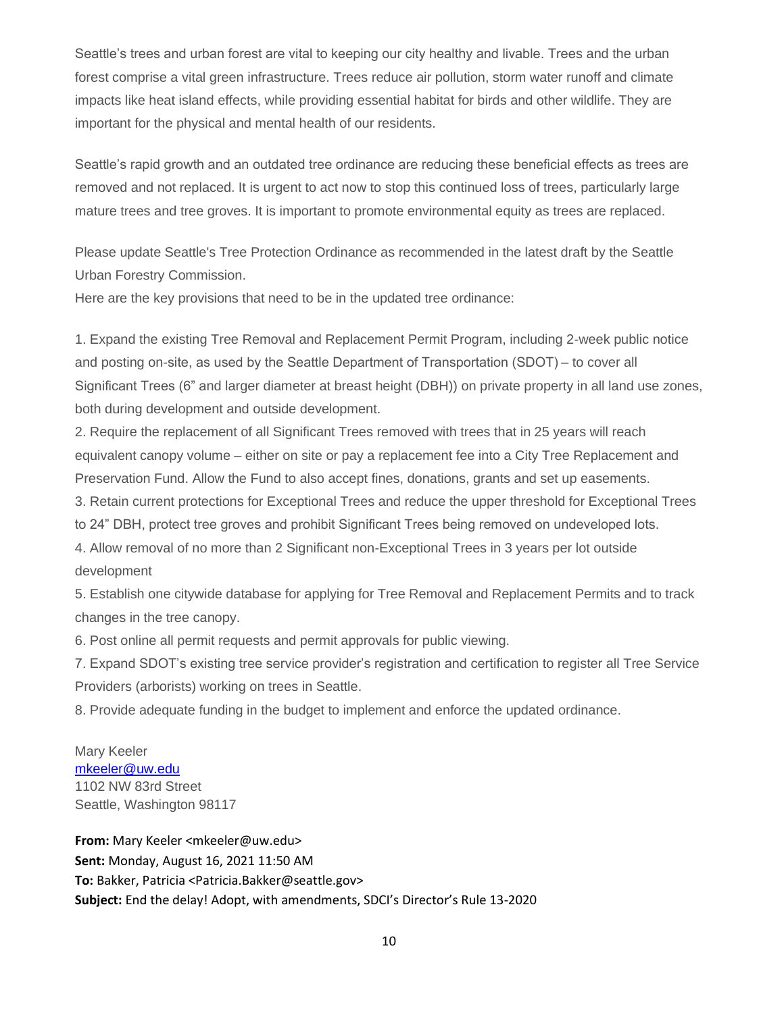Seattle's trees and urban forest are vital to keeping our city healthy and livable. Trees and the urban forest comprise a vital green infrastructure. Trees reduce air pollution, storm water runoff and climate impacts like heat island effects, while providing essential habitat for birds and other wildlife. They are important for the physical and mental health of our residents.

Seattle's rapid growth and an outdated tree ordinance are reducing these beneficial effects as trees are removed and not replaced. It is urgent to act now to stop this continued loss of trees, particularly large mature trees and tree groves. It is important to promote environmental equity as trees are replaced.

Please update Seattle's Tree Protection Ordinance as recommended in the latest draft by the Seattle Urban Forestry Commission.

Here are the key provisions that need to be in the updated tree ordinance:

1. Expand the existing Tree Removal and Replacement Permit Program, including 2-week public notice and posting on-site, as used by the Seattle Department of Transportation (SDOT) – to cover all Significant Trees (6" and larger diameter at breast height (DBH)) on private property in all land use zones, both during development and outside development.

2. Require the replacement of all Significant Trees removed with trees that in 25 years will reach equivalent canopy volume – either on site or pay a replacement fee into a City Tree Replacement and Preservation Fund. Allow the Fund to also accept fines, donations, grants and set up easements.

3. Retain current protections for Exceptional Trees and reduce the upper threshold for Exceptional Trees

to 24" DBH, protect tree groves and prohibit Significant Trees being removed on undeveloped lots.

4. Allow removal of no more than 2 Significant non-Exceptional Trees in 3 years per lot outside development

5. Establish one citywide database for applying for Tree Removal and Replacement Permits and to track changes in the tree canopy.

6. Post online all permit requests and permit approvals for public viewing.

7. Expand SDOT's existing tree service provider's registration and certification to register all Tree Service Providers (arborists) working on trees in Seattle.

8. Provide adequate funding in the budget to implement and enforce the updated ordinance.

Mary Keeler [mkeeler@uw.edu](mailto:mkeeler@uw.edu) 1102 NW 83rd Street Seattle, Washington 98117

**From:** Mary Keeler <mkeeler@uw.edu> **Sent:** Monday, August 16, 2021 11:50 AM **To:** Bakker, Patricia <Patricia.Bakker@seattle.gov> **Subject:** End the delay! Adopt, with amendments, SDCI's Director's Rule 13-2020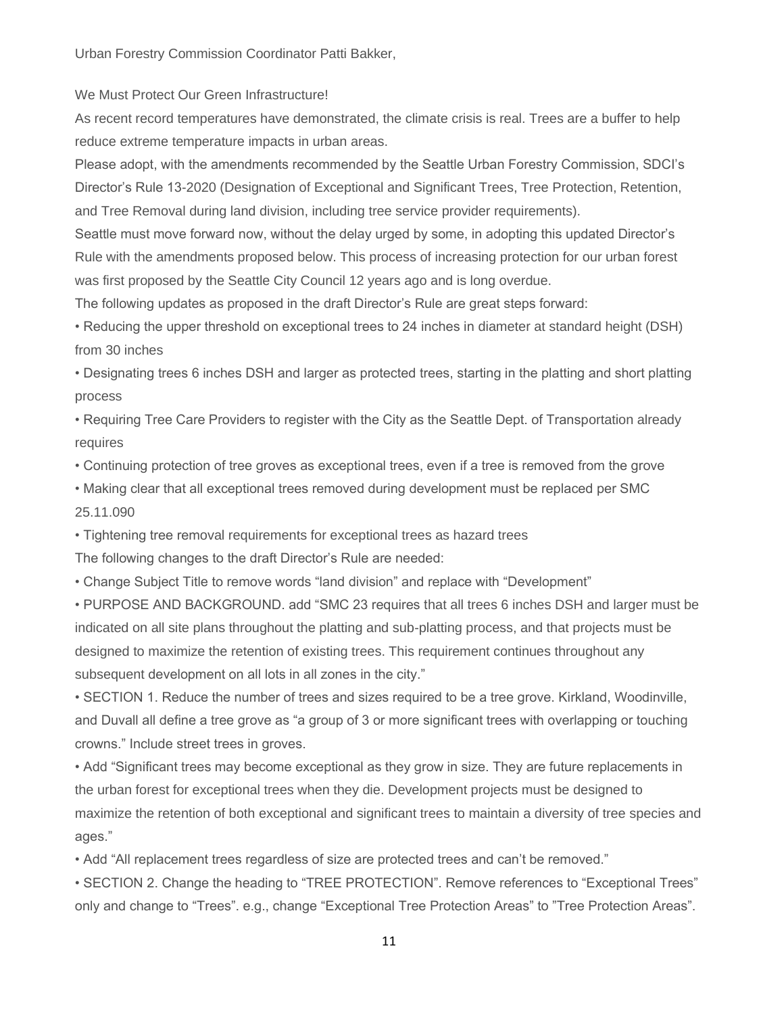Urban Forestry Commission Coordinator Patti Bakker,

We Must Protect Our Green Infrastructure!

As recent record temperatures have demonstrated, the climate crisis is real. Trees are a buffer to help reduce extreme temperature impacts in urban areas.

Please adopt, with the amendments recommended by the Seattle Urban Forestry Commission, SDCI's Director's Rule 13-2020 (Designation of Exceptional and Significant Trees, Tree Protection, Retention, and Tree Removal during land division, including tree service provider requirements).

Seattle must move forward now, without the delay urged by some, in adopting this updated Director's Rule with the amendments proposed below. This process of increasing protection for our urban forest was first proposed by the Seattle City Council 12 years ago and is long overdue.

The following updates as proposed in the draft Director's Rule are great steps forward:

• Reducing the upper threshold on exceptional trees to 24 inches in diameter at standard height (DSH) from 30 inches

• Designating trees 6 inches DSH and larger as protected trees, starting in the platting and short platting process

• Requiring Tree Care Providers to register with the City as the Seattle Dept. of Transportation already requires

• Continuing protection of tree groves as exceptional trees, even if a tree is removed from the grove

• Making clear that all exceptional trees removed during development must be replaced per SMC 25.11.090

• Tightening tree removal requirements for exceptional trees as hazard trees

The following changes to the draft Director's Rule are needed:

• Change Subject Title to remove words "land division" and replace with "Development"

• PURPOSE AND BACKGROUND. add "SMC 23 requires that all trees 6 inches DSH and larger must be indicated on all site plans throughout the platting and sub-platting process, and that projects must be designed to maximize the retention of existing trees. This requirement continues throughout any subsequent development on all lots in all zones in the city."

• SECTION 1. Reduce the number of trees and sizes required to be a tree grove. Kirkland, Woodinville, and Duvall all define a tree grove as "a group of 3 or more significant trees with overlapping or touching crowns." Include street trees in groves.

• Add "Significant trees may become exceptional as they grow in size. They are future replacements in the urban forest for exceptional trees when they die. Development projects must be designed to maximize the retention of both exceptional and significant trees to maintain a diversity of tree species and ages."

• Add "All replacement trees regardless of size are protected trees and can't be removed."

• SECTION 2. Change the heading to "TREE PROTECTION". Remove references to "Exceptional Trees" only and change to "Trees". e.g., change "Exceptional Tree Protection Areas" to "Tree Protection Areas".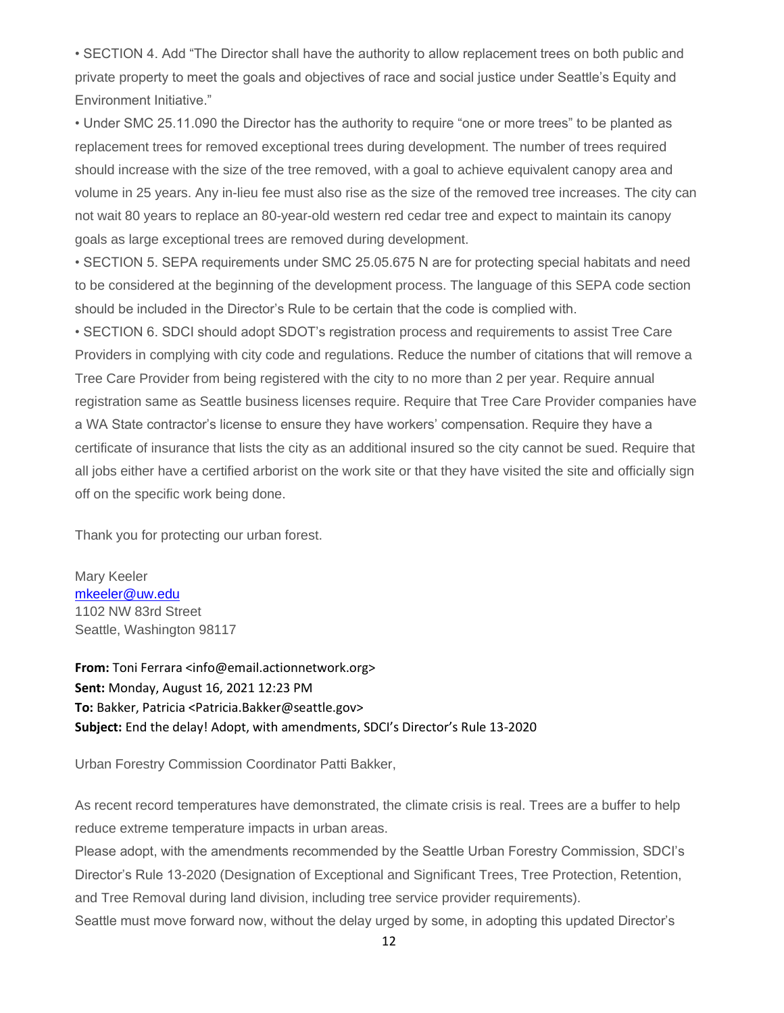• SECTION 4. Add "The Director shall have the authority to allow replacement trees on both public and private property to meet the goals and objectives of race and social justice under Seattle's Equity and Environment Initiative."

• Under SMC 25.11.090 the Director has the authority to require "one or more trees" to be planted as replacement trees for removed exceptional trees during development. The number of trees required should increase with the size of the tree removed, with a goal to achieve equivalent canopy area and volume in 25 years. Any in-lieu fee must also rise as the size of the removed tree increases. The city can not wait 80 years to replace an 80-year-old western red cedar tree and expect to maintain its canopy goals as large exceptional trees are removed during development.

• SECTION 5. SEPA requirements under SMC 25.05.675 N are for protecting special habitats and need to be considered at the beginning of the development process. The language of this SEPA code section should be included in the Director's Rule to be certain that the code is complied with.

• SECTION 6. SDCI should adopt SDOT's registration process and requirements to assist Tree Care Providers in complying with city code and regulations. Reduce the number of citations that will remove a Tree Care Provider from being registered with the city to no more than 2 per year. Require annual registration same as Seattle business licenses require. Require that Tree Care Provider companies have a WA State contractor's license to ensure they have workers' compensation. Require they have a certificate of insurance that lists the city as an additional insured so the city cannot be sued. Require that all jobs either have a certified arborist on the work site or that they have visited the site and officially sign off on the specific work being done.

Thank you for protecting our urban forest.

Mary Keeler [mkeeler@uw.edu](mailto:mkeeler@uw.edu) 1102 NW 83rd Street Seattle, Washington 98117

**From:** Toni Ferrara <info@email.actionnetwork.org> **Sent:** Monday, August 16, 2021 12:23 PM **To:** Bakker, Patricia <Patricia.Bakker@seattle.gov> **Subject:** End the delay! Adopt, with amendments, SDCI's Director's Rule 13-2020

Urban Forestry Commission Coordinator Patti Bakker,

As recent record temperatures have demonstrated, the climate crisis is real. Trees are a buffer to help reduce extreme temperature impacts in urban areas.

Please adopt, with the amendments recommended by the Seattle Urban Forestry Commission, SDCI's Director's Rule 13-2020 (Designation of Exceptional and Significant Trees, Tree Protection, Retention, and Tree Removal during land division, including tree service provider requirements).

Seattle must move forward now, without the delay urged by some, in adopting this updated Director's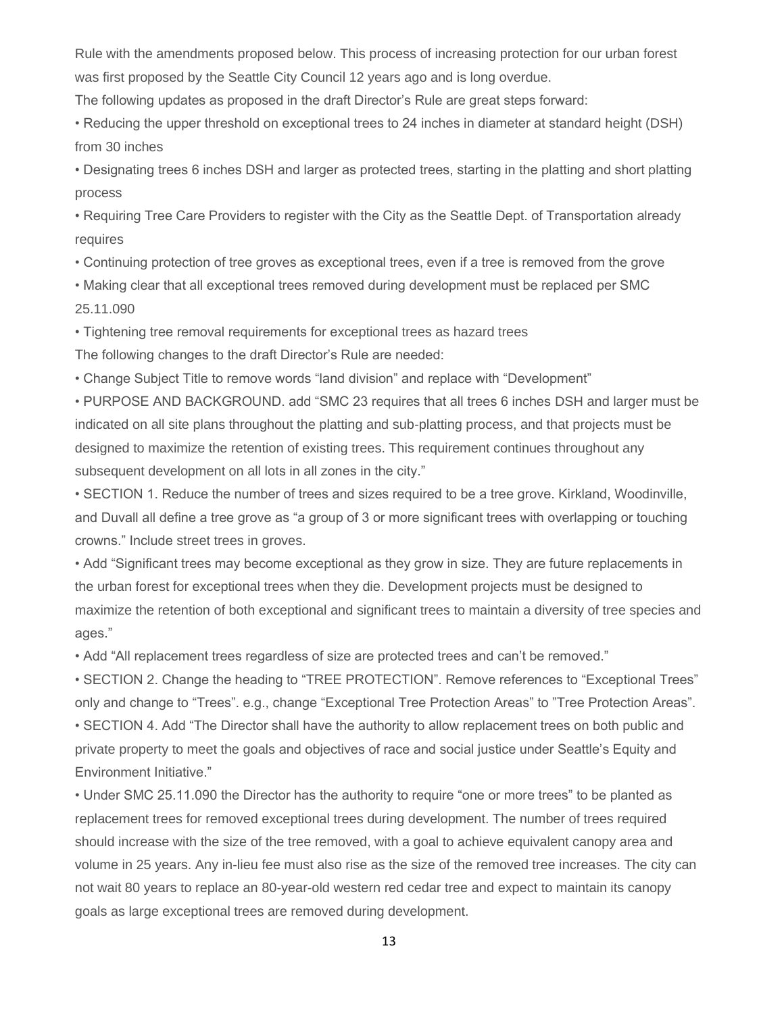Rule with the amendments proposed below. This process of increasing protection for our urban forest was first proposed by the Seattle City Council 12 years ago and is long overdue.

The following updates as proposed in the draft Director's Rule are great steps forward:

• Reducing the upper threshold on exceptional trees to 24 inches in diameter at standard height (DSH) from 30 inches

• Designating trees 6 inches DSH and larger as protected trees, starting in the platting and short platting process

• Requiring Tree Care Providers to register with the City as the Seattle Dept. of Transportation already requires

• Continuing protection of tree groves as exceptional trees, even if a tree is removed from the grove

• Making clear that all exceptional trees removed during development must be replaced per SMC 25.11.090

• Tightening tree removal requirements for exceptional trees as hazard trees

The following changes to the draft Director's Rule are needed:

• Change Subject Title to remove words "land division" and replace with "Development"

• PURPOSE AND BACKGROUND. add "SMC 23 requires that all trees 6 inches DSH and larger must be indicated on all site plans throughout the platting and sub-platting process, and that projects must be designed to maximize the retention of existing trees. This requirement continues throughout any subsequent development on all lots in all zones in the city."

• SECTION 1. Reduce the number of trees and sizes required to be a tree grove. Kirkland, Woodinville, and Duvall all define a tree grove as "a group of 3 or more significant trees with overlapping or touching crowns." Include street trees in groves.

• Add "Significant trees may become exceptional as they grow in size. They are future replacements in the urban forest for exceptional trees when they die. Development projects must be designed to maximize the retention of both exceptional and significant trees to maintain a diversity of tree species and ages."

• Add "All replacement trees regardless of size are protected trees and can't be removed."

• SECTION 2. Change the heading to "TREE PROTECTION". Remove references to "Exceptional Trees" only and change to "Trees". e.g., change "Exceptional Tree Protection Areas" to "Tree Protection Areas".

• SECTION 4. Add "The Director shall have the authority to allow replacement trees on both public and private property to meet the goals and objectives of race and social justice under Seattle's Equity and Environment Initiative."

• Under SMC 25.11.090 the Director has the authority to require "one or more trees" to be planted as replacement trees for removed exceptional trees during development. The number of trees required should increase with the size of the tree removed, with a goal to achieve equivalent canopy area and volume in 25 years. Any in-lieu fee must also rise as the size of the removed tree increases. The city can not wait 80 years to replace an 80-year-old western red cedar tree and expect to maintain its canopy goals as large exceptional trees are removed during development.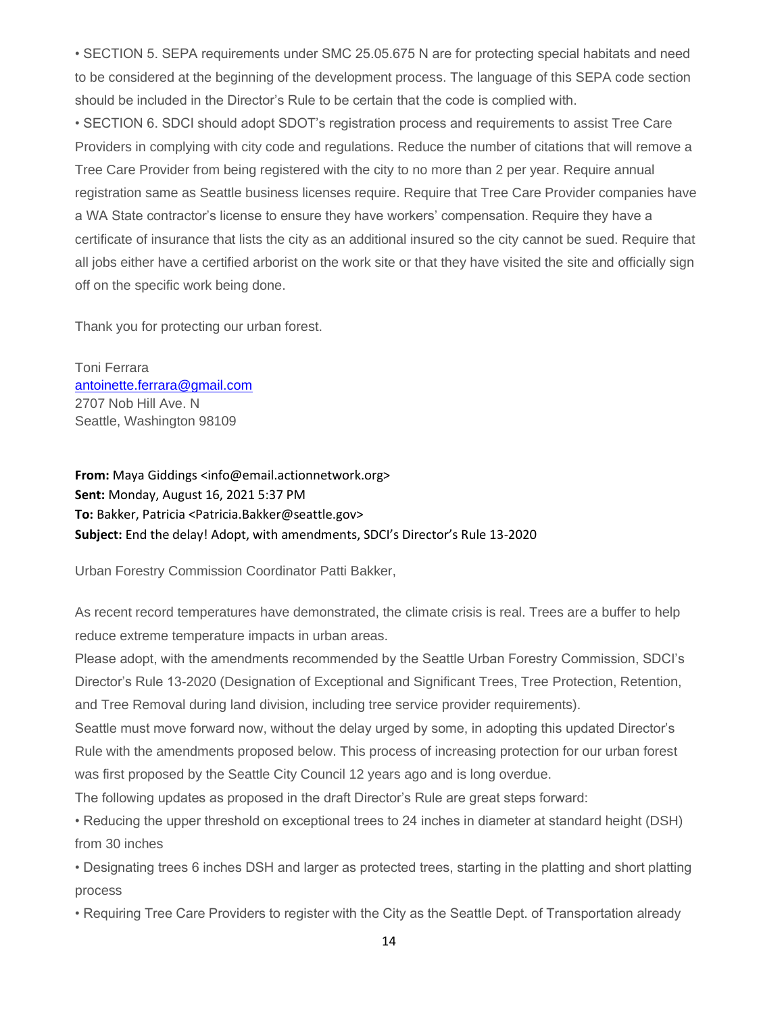• SECTION 5. SEPA requirements under SMC 25.05.675 N are for protecting special habitats and need to be considered at the beginning of the development process. The language of this SEPA code section should be included in the Director's Rule to be certain that the code is complied with.

• SECTION 6. SDCI should adopt SDOT's registration process and requirements to assist Tree Care Providers in complying with city code and regulations. Reduce the number of citations that will remove a Tree Care Provider from being registered with the city to no more than 2 per year. Require annual registration same as Seattle business licenses require. Require that Tree Care Provider companies have a WA State contractor's license to ensure they have workers' compensation. Require they have a certificate of insurance that lists the city as an additional insured so the city cannot be sued. Require that all jobs either have a certified arborist on the work site or that they have visited the site and officially sign off on the specific work being done.

Thank you for protecting our urban forest.

Toni Ferrara [antoinette.ferrara@gmail.com](mailto:antoinette.ferrara@gmail.com) 2707 Nob Hill Ave. N Seattle, Washington 98109

**From:** Maya Giddings <info@email.actionnetwork.org> **Sent:** Monday, August 16, 2021 5:37 PM **To:** Bakker, Patricia <Patricia.Bakker@seattle.gov> **Subject:** End the delay! Adopt, with amendments, SDCI's Director's Rule 13-2020

Urban Forestry Commission Coordinator Patti Bakker,

As recent record temperatures have demonstrated, the climate crisis is real. Trees are a buffer to help reduce extreme temperature impacts in urban areas.

Please adopt, with the amendments recommended by the Seattle Urban Forestry Commission, SDCI's Director's Rule 13-2020 (Designation of Exceptional and Significant Trees, Tree Protection, Retention, and Tree Removal during land division, including tree service provider requirements).

Seattle must move forward now, without the delay urged by some, in adopting this updated Director's Rule with the amendments proposed below. This process of increasing protection for our urban forest was first proposed by the Seattle City Council 12 years ago and is long overdue.

The following updates as proposed in the draft Director's Rule are great steps forward:

• Reducing the upper threshold on exceptional trees to 24 inches in diameter at standard height (DSH) from 30 inches

• Designating trees 6 inches DSH and larger as protected trees, starting in the platting and short platting process

• Requiring Tree Care Providers to register with the City as the Seattle Dept. of Transportation already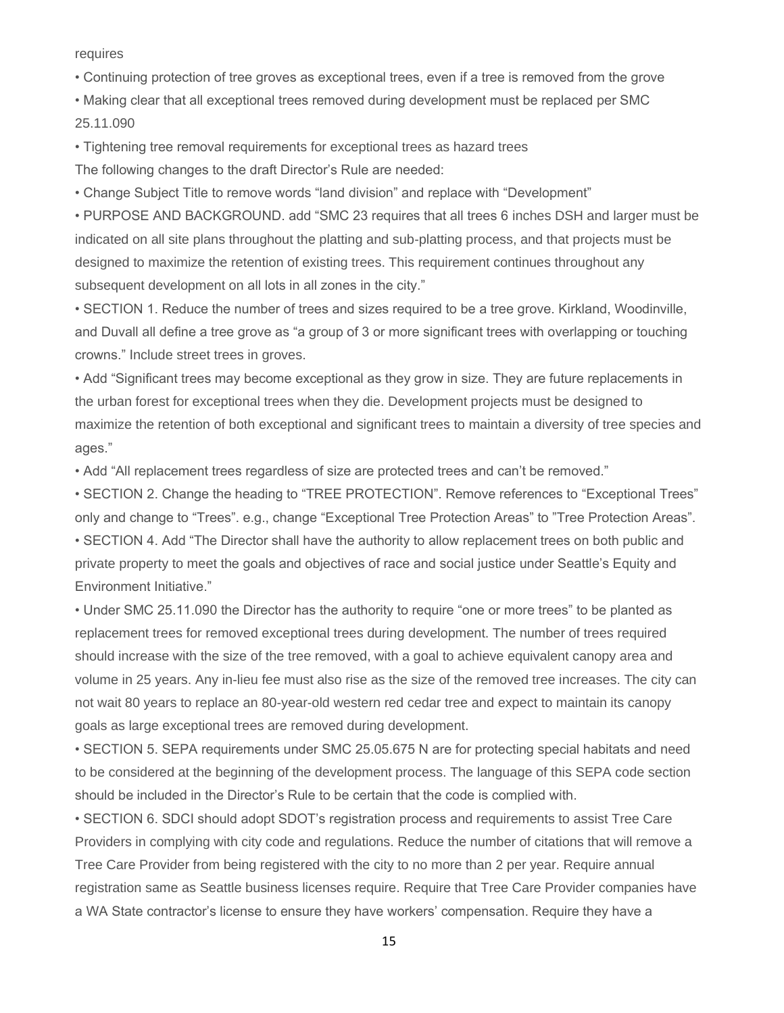requires

• Continuing protection of tree groves as exceptional trees, even if a tree is removed from the grove

• Making clear that all exceptional trees removed during development must be replaced per SMC 25.11.090

• Tightening tree removal requirements for exceptional trees as hazard trees

The following changes to the draft Director's Rule are needed:

• Change Subject Title to remove words "land division" and replace with "Development"

• PURPOSE AND BACKGROUND. add "SMC 23 requires that all trees 6 inches DSH and larger must be indicated on all site plans throughout the platting and sub-platting process, and that projects must be designed to maximize the retention of existing trees. This requirement continues throughout any subsequent development on all lots in all zones in the city."

• SECTION 1. Reduce the number of trees and sizes required to be a tree grove. Kirkland, Woodinville, and Duvall all define a tree grove as "a group of 3 or more significant trees with overlapping or touching crowns." Include street trees in groves.

• Add "Significant trees may become exceptional as they grow in size. They are future replacements in the urban forest for exceptional trees when they die. Development projects must be designed to maximize the retention of both exceptional and significant trees to maintain a diversity of tree species and ages."

• Add "All replacement trees regardless of size are protected trees and can't be removed."

• SECTION 2. Change the heading to "TREE PROTECTION". Remove references to "Exceptional Trees" only and change to "Trees". e.g., change "Exceptional Tree Protection Areas" to "Tree Protection Areas". • SECTION 4. Add "The Director shall have the authority to allow replacement trees on both public and private property to meet the goals and objectives of race and social justice under Seattle's Equity and Environment Initiative."

• Under SMC 25.11.090 the Director has the authority to require "one or more trees" to be planted as replacement trees for removed exceptional trees during development. The number of trees required should increase with the size of the tree removed, with a goal to achieve equivalent canopy area and volume in 25 years. Any in-lieu fee must also rise as the size of the removed tree increases. The city can not wait 80 years to replace an 80-year-old western red cedar tree and expect to maintain its canopy goals as large exceptional trees are removed during development.

• SECTION 5. SEPA requirements under SMC 25.05.675 N are for protecting special habitats and need to be considered at the beginning of the development process. The language of this SEPA code section should be included in the Director's Rule to be certain that the code is complied with.

• SECTION 6. SDCI should adopt SDOT's registration process and requirements to assist Tree Care Providers in complying with city code and regulations. Reduce the number of citations that will remove a Tree Care Provider from being registered with the city to no more than 2 per year. Require annual registration same as Seattle business licenses require. Require that Tree Care Provider companies have a WA State contractor's license to ensure they have workers' compensation. Require they have a

15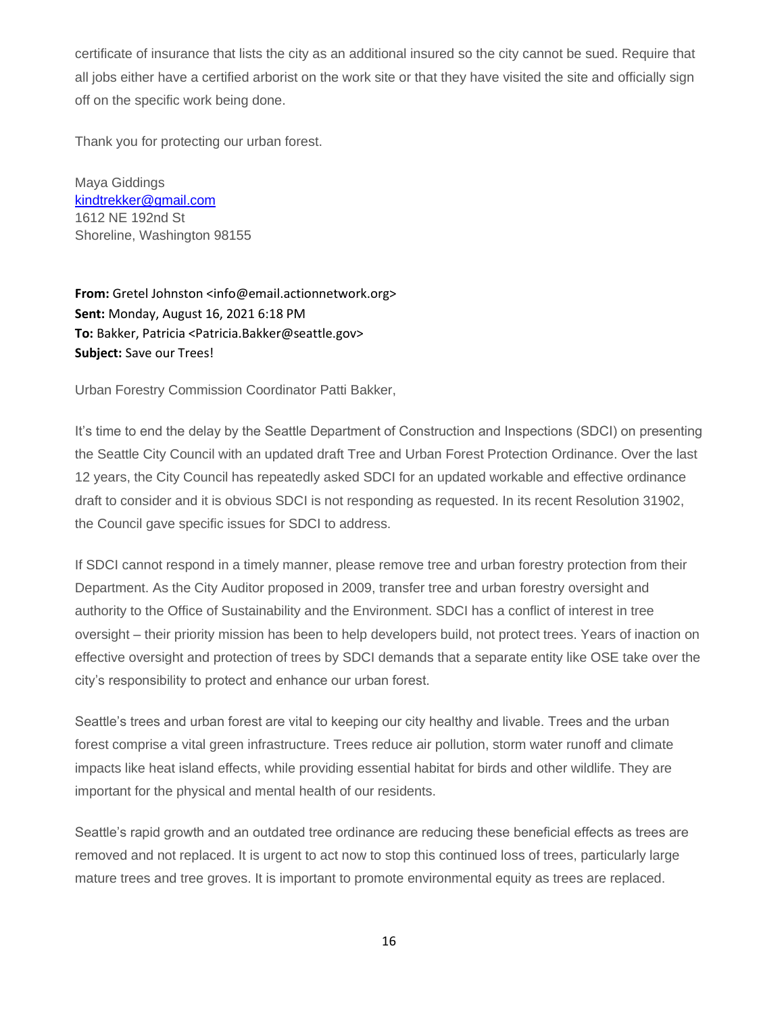certificate of insurance that lists the city as an additional insured so the city cannot be sued. Require that all jobs either have a certified arborist on the work site or that they have visited the site and officially sign off on the specific work being done.

Thank you for protecting our urban forest.

Maya Giddings [kindtrekker@gmail.com](mailto:kindtrekker@gmail.com) 1612 NE 192nd St Shoreline, Washington 98155

**From:** Gretel Johnston <info@email.actionnetwork.org> **Sent:** Monday, August 16, 2021 6:18 PM **To:** Bakker, Patricia <Patricia.Bakker@seattle.gov> **Subject:** Save our Trees!

Urban Forestry Commission Coordinator Patti Bakker,

It's time to end the delay by the Seattle Department of Construction and Inspections (SDCI) on presenting the Seattle City Council with an updated draft Tree and Urban Forest Protection Ordinance. Over the last 12 years, the City Council has repeatedly asked SDCI for an updated workable and effective ordinance draft to consider and it is obvious SDCI is not responding as requested. In its recent Resolution 31902, the Council gave specific issues for SDCI to address.

If SDCI cannot respond in a timely manner, please remove tree and urban forestry protection from their Department. As the City Auditor proposed in 2009, transfer tree and urban forestry oversight and authority to the Office of Sustainability and the Environment. SDCI has a conflict of interest in tree oversight – their priority mission has been to help developers build, not protect trees. Years of inaction on effective oversight and protection of trees by SDCI demands that a separate entity like OSE take over the city's responsibility to protect and enhance our urban forest.

Seattle's trees and urban forest are vital to keeping our city healthy and livable. Trees and the urban forest comprise a vital green infrastructure. Trees reduce air pollution, storm water runoff and climate impacts like heat island effects, while providing essential habitat for birds and other wildlife. They are important for the physical and mental health of our residents.

Seattle's rapid growth and an outdated tree ordinance are reducing these beneficial effects as trees are removed and not replaced. It is urgent to act now to stop this continued loss of trees, particularly large mature trees and tree groves. It is important to promote environmental equity as trees are replaced.

16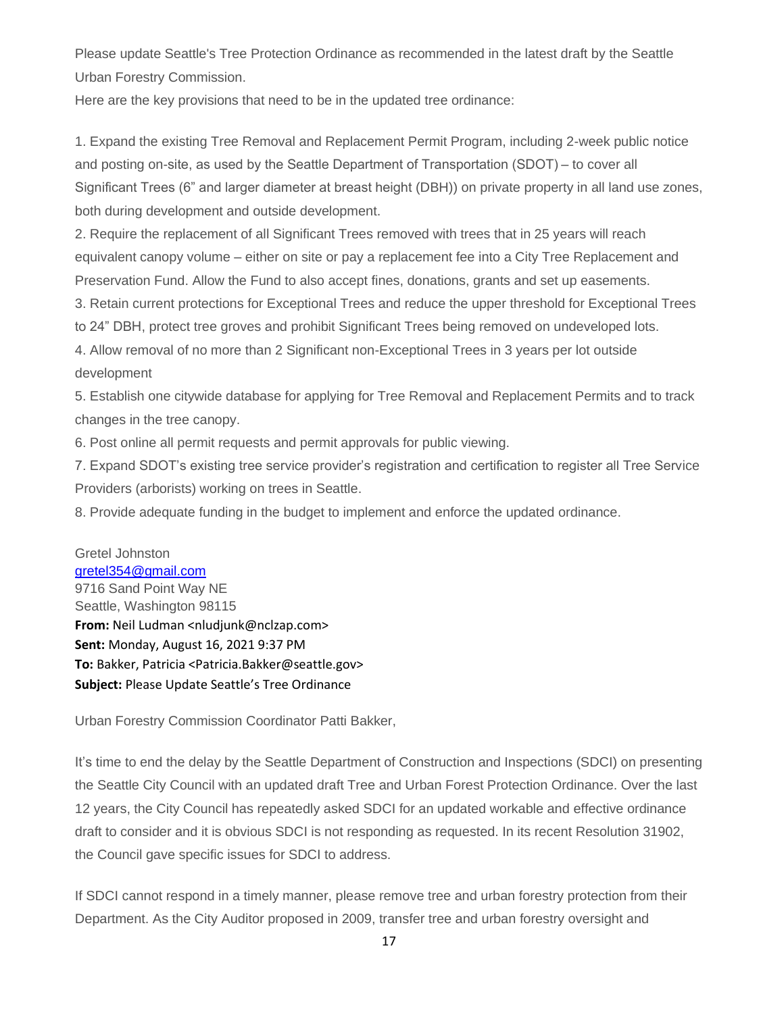Please update Seattle's Tree Protection Ordinance as recommended in the latest draft by the Seattle Urban Forestry Commission.

Here are the key provisions that need to be in the updated tree ordinance:

1. Expand the existing Tree Removal and Replacement Permit Program, including 2-week public notice and posting on-site, as used by the Seattle Department of Transportation (SDOT) – to cover all Significant Trees (6" and larger diameter at breast height (DBH)) on private property in all land use zones, both during development and outside development.

2. Require the replacement of all Significant Trees removed with trees that in 25 years will reach equivalent canopy volume – either on site or pay a replacement fee into a City Tree Replacement and Preservation Fund. Allow the Fund to also accept fines, donations, grants and set up easements.

3. Retain current protections for Exceptional Trees and reduce the upper threshold for Exceptional Trees

to 24" DBH, protect tree groves and prohibit Significant Trees being removed on undeveloped lots.

4. Allow removal of no more than 2 Significant non-Exceptional Trees in 3 years per lot outside development

5. Establish one citywide database for applying for Tree Removal and Replacement Permits and to track changes in the tree canopy.

6. Post online all permit requests and permit approvals for public viewing.

7. Expand SDOT's existing tree service provider's registration and certification to register all Tree Service Providers (arborists) working on trees in Seattle.

8. Provide adequate funding in the budget to implement and enforce the updated ordinance.

Gretel Johnston [gretel354@gmail.com](mailto:gretel354@gmail.com) 9716 Sand Point Way NE Seattle, Washington 98115 **From:** Neil Ludman <nludjunk@nclzap.com> **Sent:** Monday, August 16, 2021 9:37 PM **To:** Bakker, Patricia <Patricia.Bakker@seattle.gov> **Subject:** Please Update Seattle's Tree Ordinance

Urban Forestry Commission Coordinator Patti Bakker,

It's time to end the delay by the Seattle Department of Construction and Inspections (SDCI) on presenting the Seattle City Council with an updated draft Tree and Urban Forest Protection Ordinance. Over the last 12 years, the City Council has repeatedly asked SDCI for an updated workable and effective ordinance draft to consider and it is obvious SDCI is not responding as requested. In its recent Resolution 31902, the Council gave specific issues for SDCI to address.

If SDCI cannot respond in a timely manner, please remove tree and urban forestry protection from their Department. As the City Auditor proposed in 2009, transfer tree and urban forestry oversight and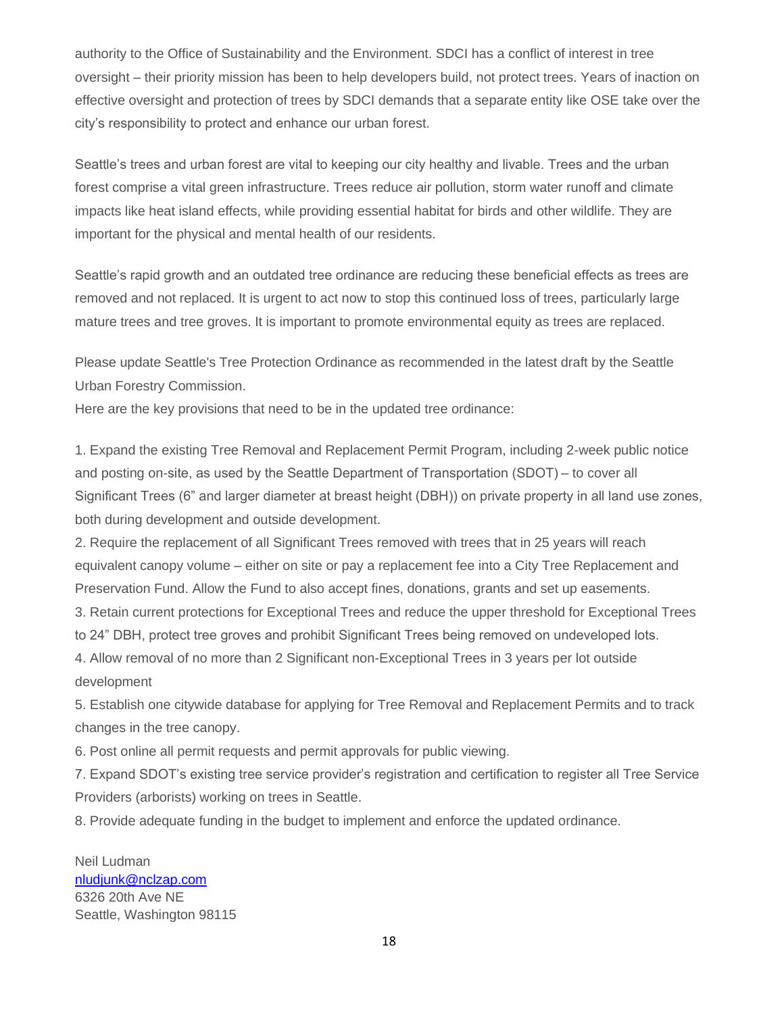authority to the Office of Sustainability and the Environment. SDCI has a conflict of interest in tree oversight – their priority mission has been to help developers build, not protect trees. Years of inaction on effective oversight and protection of trees by SDCI demands that a separate entity like OSE take over the city's responsibility to protect and enhance our urban forest.

Seattle's trees and urban forest are vital to keeping our city healthy and livable. Trees and the urban forest comprise a vital green infrastructure. Trees reduce air pollution, storm water runoff and climate impacts like heat island effects, while providing essential habitat for birds and other wildlife. They are important for the physical and mental health of our residents.

Seattle's rapid growth and an outdated tree ordinance are reducing these beneficial effects as trees are removed and not replaced. It is urgent to act now to stop this continued loss of trees, particularly large mature trees and tree groves. It is important to promote environmental equity as trees are replaced.

Please update Seattle's Tree Protection Ordinance as recommended in the latest draft by the Seattle Urban Forestry Commission.

Here are the key provisions that need to be in the updated tree ordinance:

1. Expand the existing Tree Removal and Replacement Permit Program, including 2-week public notice and posting on-site, as used by the Seattle Department of Transportation (SDOT) – to cover all Significant Trees (6" and larger diameter at breast height (DBH)) on private property in all land use zones, both during development and outside development.

2. Require the replacement of all Significant Trees removed with trees that in 25 years will reach equivalent canopy volume – either on site or pay a replacement fee into a City Tree Replacement and Preservation Fund. Allow the Fund to also accept fines, donations, grants and set up easements.

3. Retain current protections for Exceptional Trees and reduce the upper threshold for Exceptional Trees to 24" DBH, protect tree groves and prohibit Significant Trees being removed on undeveloped lots.

4. Allow removal of no more than 2 Significant non-Exceptional Trees in 3 years per lot outside development

5. Establish one citywide database for applying for Tree Removal and Replacement Permits and to track changes in the tree canopy.

6. Post online all permit requests and permit approvals for public viewing.

7. Expand SDOT's existing tree service provider's registration and certification to register all Tree Service Providers (arborists) working on trees in Seattle.

8. Provide adequate funding in the budget to implement and enforce the updated ordinance.

Neil Ludman [nludjunk@nclzap.com](mailto:nludjunk@nclzap.com) 6326 20th Ave NE Seattle, Washington 98115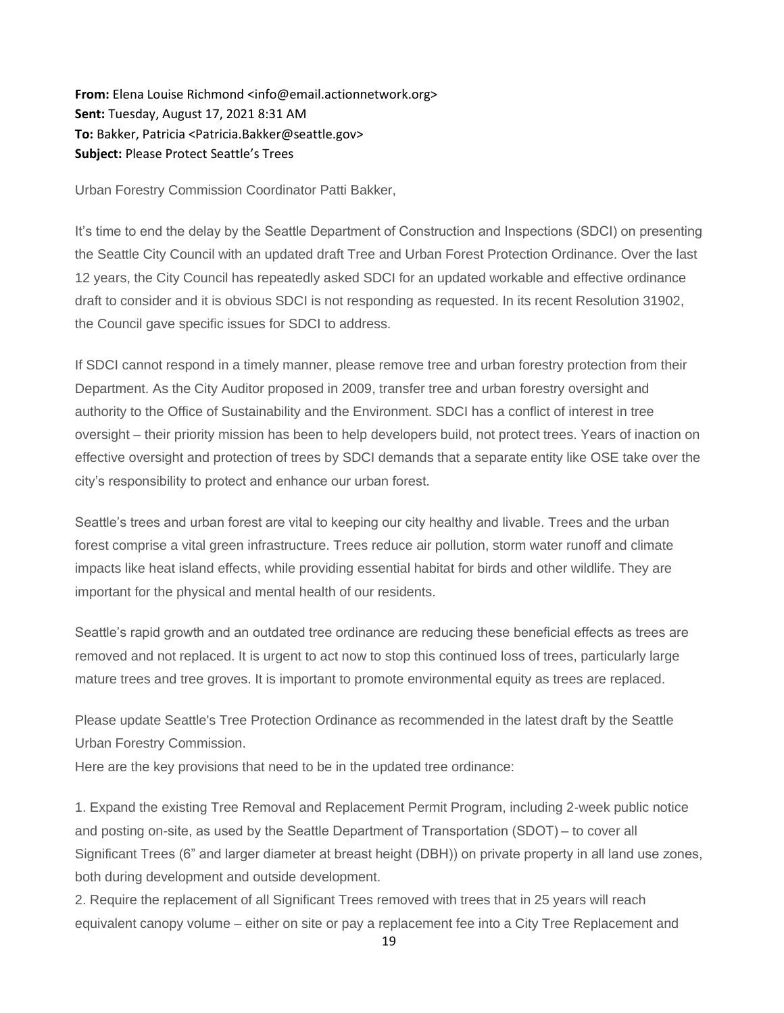**From:** Elena Louise Richmond <info@email.actionnetwork.org> **Sent:** Tuesday, August 17, 2021 8:31 AM **To:** Bakker, Patricia <Patricia.Bakker@seattle.gov> **Subject:** Please Protect Seattle's Trees

Urban Forestry Commission Coordinator Patti Bakker,

It's time to end the delay by the Seattle Department of Construction and Inspections (SDCI) on presenting the Seattle City Council with an updated draft Tree and Urban Forest Protection Ordinance. Over the last 12 years, the City Council has repeatedly asked SDCI for an updated workable and effective ordinance draft to consider and it is obvious SDCI is not responding as requested. In its recent Resolution 31902, the Council gave specific issues for SDCI to address.

If SDCI cannot respond in a timely manner, please remove tree and urban forestry protection from their Department. As the City Auditor proposed in 2009, transfer tree and urban forestry oversight and authority to the Office of Sustainability and the Environment. SDCI has a conflict of interest in tree oversight – their priority mission has been to help developers build, not protect trees. Years of inaction on effective oversight and protection of trees by SDCI demands that a separate entity like OSE take over the city's responsibility to protect and enhance our urban forest.

Seattle's trees and urban forest are vital to keeping our city healthy and livable. Trees and the urban forest comprise a vital green infrastructure. Trees reduce air pollution, storm water runoff and climate impacts like heat island effects, while providing essential habitat for birds and other wildlife. They are important for the physical and mental health of our residents.

Seattle's rapid growth and an outdated tree ordinance are reducing these beneficial effects as trees are removed and not replaced. It is urgent to act now to stop this continued loss of trees, particularly large mature trees and tree groves. It is important to promote environmental equity as trees are replaced.

Please update Seattle's Tree Protection Ordinance as recommended in the latest draft by the Seattle Urban Forestry Commission.

Here are the key provisions that need to be in the updated tree ordinance:

1. Expand the existing Tree Removal and Replacement Permit Program, including 2-week public notice and posting on-site, as used by the Seattle Department of Transportation (SDOT) – to cover all Significant Trees (6" and larger diameter at breast height (DBH)) on private property in all land use zones, both during development and outside development.

2. Require the replacement of all Significant Trees removed with trees that in 25 years will reach equivalent canopy volume – either on site or pay a replacement fee into a City Tree Replacement and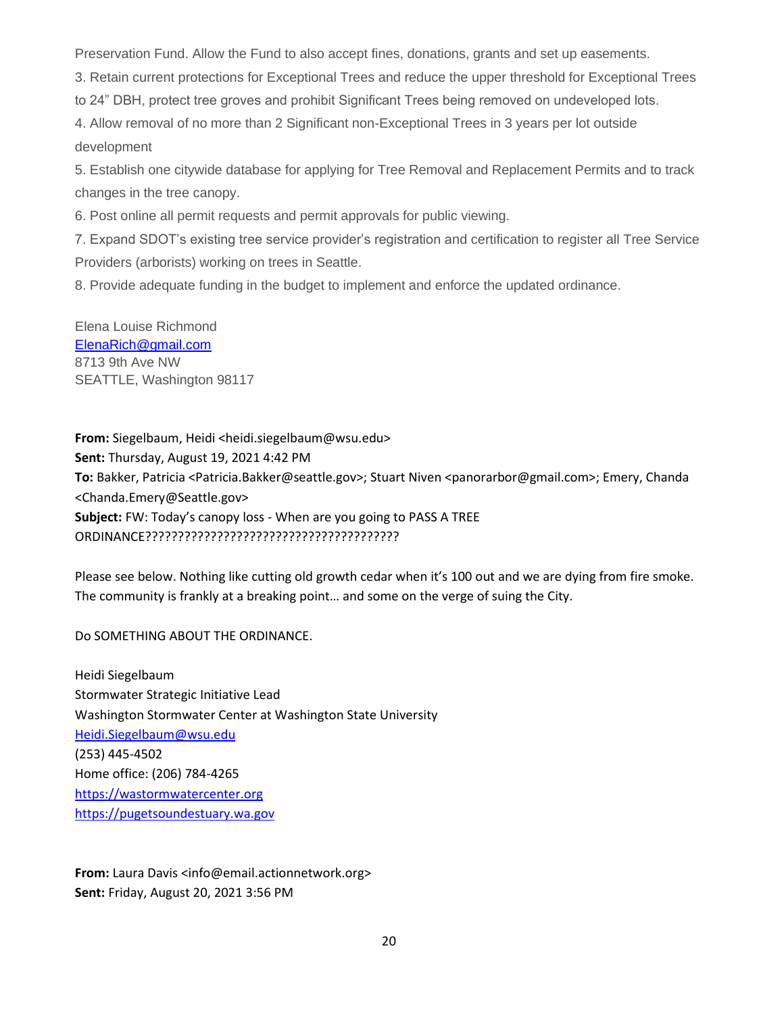Preservation Fund. Allow the Fund to also accept fines, donations, grants and set up easements.

3. Retain current protections for Exceptional Trees and reduce the upper threshold for Exceptional Trees

to 24" DBH, protect tree groves and prohibit Significant Trees being removed on undeveloped lots.

4. Allow removal of no more than 2 Significant non-Exceptional Trees in 3 years per lot outside development

5. Establish one citywide database for applying for Tree Removal and Replacement Permits and to track changes in the tree canopy.

6. Post online all permit requests and permit approvals for public viewing.

7. Expand SDOT's existing tree service provider's registration and certification to register all Tree Service Providers (arborists) working on trees in Seattle.

8. Provide adequate funding in the budget to implement and enforce the updated ordinance.

Elena Louise Richmond [ElenaRich@gmail.com](mailto:ElenaRich@gmail.com) 8713 9th Ave NW SEATTLE, Washington 98117

**From:** Siegelbaum, Heidi <heidi.siegelbaum@wsu.edu> **Sent:** Thursday, August 19, 2021 4:42 PM **To:** Bakker, Patricia <Patricia.Bakker@seattle.gov>; Stuart Niven <panorarbor@gmail.com>; Emery, Chanda <Chanda.Emery@Seattle.gov> **Subject:** FW: Today's canopy loss - When are you going to PASS A TREE ORDINANCE???????????????????????????????????????

Please see below. Nothing like cutting old growth cedar when it's 100 out and we are dying from fire smoke. The community is frankly at a breaking point… and some on the verge of suing the City.

Do SOMETHING ABOUT THE ORDINANCE.

Heidi Siegelbaum Stormwater Strategic Initiative Lead Washington Stormwater Center at Washington State University [Heidi.Siegelbaum@wsu.edu](mailto:Heidi.Siegelbaum@wsu.edu) (253) 445-4502 Home office: (206) 784-4265 [https://wastormwatercenter.org](https://protect2.fireeye.com/v1/url?k=30b3e57e-6f28dc35-30b3cdce-867c6b071c6f-9f61b571e74c09b2&q=1&e=07b91f29-c047-4b88-bfef-9b7dd0e35a9d&u=https%3A%2F%2Fwastormwatercenter.org%2F) [https://pugetsoundestuary.wa.gov](https://pugetsoundestuary.wa.gov/)

**From:** Laura Davis <info@email.actionnetwork.org> **Sent:** Friday, August 20, 2021 3:56 PM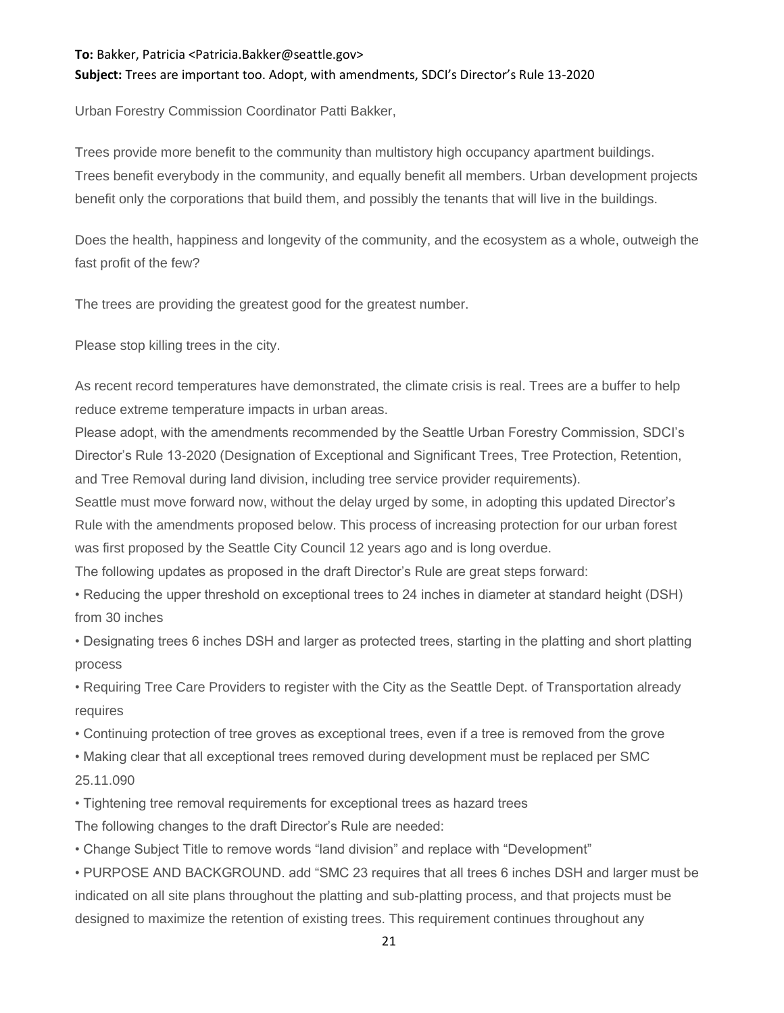### **To:** Bakker, Patricia <Patricia.Bakker@seattle.gov>

### **Subject:** Trees are important too. Adopt, with amendments, SDCI's Director's Rule 13-2020

Urban Forestry Commission Coordinator Patti Bakker,

Trees provide more benefit to the community than multistory high occupancy apartment buildings. Trees benefit everybody in the community, and equally benefit all members. Urban development projects benefit only the corporations that build them, and possibly the tenants that will live in the buildings.

Does the health, happiness and longevity of the community, and the ecosystem as a whole, outweigh the fast profit of the few?

The trees are providing the greatest good for the greatest number.

Please stop killing trees in the city.

As recent record temperatures have demonstrated, the climate crisis is real. Trees are a buffer to help reduce extreme temperature impacts in urban areas.

Please adopt, with the amendments recommended by the Seattle Urban Forestry Commission, SDCI's Director's Rule 13-2020 (Designation of Exceptional and Significant Trees, Tree Protection, Retention, and Tree Removal during land division, including tree service provider requirements).

Seattle must move forward now, without the delay urged by some, in adopting this updated Director's Rule with the amendments proposed below. This process of increasing protection for our urban forest was first proposed by the Seattle City Council 12 years ago and is long overdue.

The following updates as proposed in the draft Director's Rule are great steps forward:

• Reducing the upper threshold on exceptional trees to 24 inches in diameter at standard height (DSH) from 30 inches

• Designating trees 6 inches DSH and larger as protected trees, starting in the platting and short platting process

• Requiring Tree Care Providers to register with the City as the Seattle Dept. of Transportation already requires

• Continuing protection of tree groves as exceptional trees, even if a tree is removed from the grove

• Making clear that all exceptional trees removed during development must be replaced per SMC 25.11.090

• Tightening tree removal requirements for exceptional trees as hazard trees

The following changes to the draft Director's Rule are needed:

• Change Subject Title to remove words "land division" and replace with "Development"

• PURPOSE AND BACKGROUND. add "SMC 23 requires that all trees 6 inches DSH and larger must be indicated on all site plans throughout the platting and sub-platting process, and that projects must be designed to maximize the retention of existing trees. This requirement continues throughout any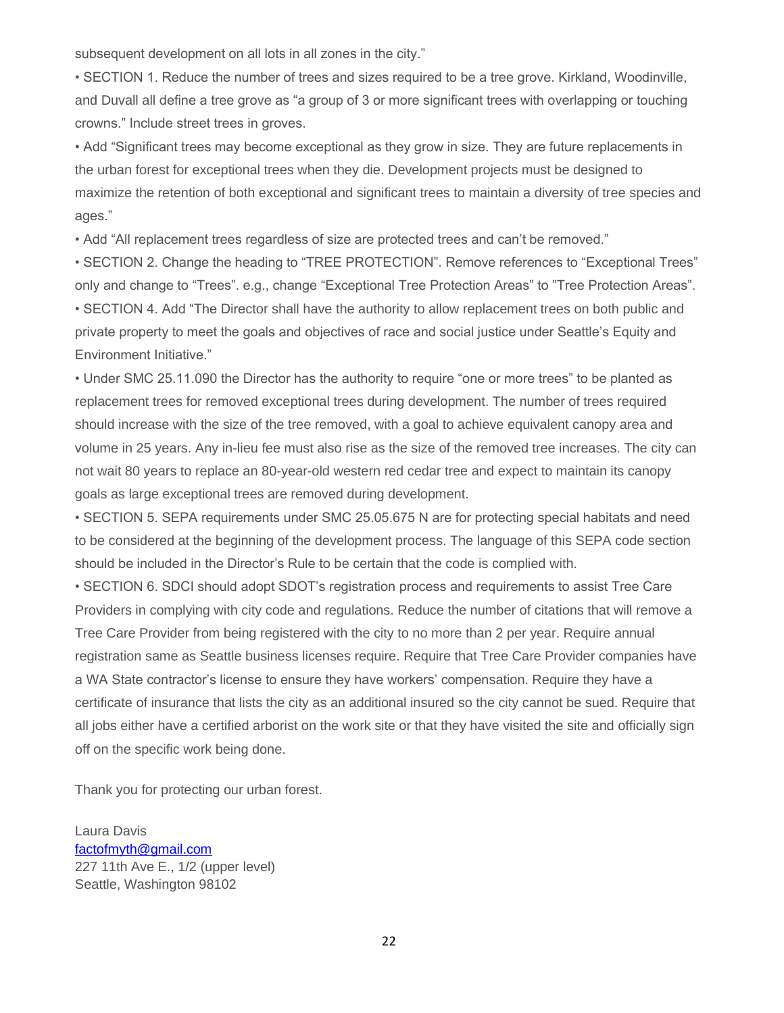subsequent development on all lots in all zones in the city."

• SECTION 1. Reduce the number of trees and sizes required to be a tree grove. Kirkland, Woodinville, and Duvall all define a tree grove as "a group of 3 or more significant trees with overlapping or touching crowns." Include street trees in groves.

• Add "Significant trees may become exceptional as they grow in size. They are future replacements in the urban forest for exceptional trees when they die. Development projects must be designed to maximize the retention of both exceptional and significant trees to maintain a diversity of tree species and ages."

• Add "All replacement trees regardless of size are protected trees and can't be removed."

• SECTION 2. Change the heading to "TREE PROTECTION". Remove references to "Exceptional Trees" only and change to "Trees". e.g., change "Exceptional Tree Protection Areas" to "Tree Protection Areas". • SECTION 4. Add "The Director shall have the authority to allow replacement trees on both public and private property to meet the goals and objectives of race and social justice under Seattle's Equity and Environment Initiative."

• Under SMC 25.11.090 the Director has the authority to require "one or more trees" to be planted as replacement trees for removed exceptional trees during development. The number of trees required should increase with the size of the tree removed, with a goal to achieve equivalent canopy area and volume in 25 years. Any in-lieu fee must also rise as the size of the removed tree increases. The city can not wait 80 years to replace an 80-year-old western red cedar tree and expect to maintain its canopy goals as large exceptional trees are removed during development.

• SECTION 5. SEPA requirements under SMC 25.05.675 N are for protecting special habitats and need to be considered at the beginning of the development process. The language of this SEPA code section should be included in the Director's Rule to be certain that the code is complied with.

• SECTION 6. SDCI should adopt SDOT's registration process and requirements to assist Tree Care Providers in complying with city code and regulations. Reduce the number of citations that will remove a Tree Care Provider from being registered with the city to no more than 2 per year. Require annual registration same as Seattle business licenses require. Require that Tree Care Provider companies have a WA State contractor's license to ensure they have workers' compensation. Require they have a certificate of insurance that lists the city as an additional insured so the city cannot be sued. Require that all jobs either have a certified arborist on the work site or that they have visited the site and officially sign off on the specific work being done.

Thank you for protecting our urban forest.

Laura Davis [factofmyth@gmail.com](mailto:factofmyth@gmail.com) 227 11th Ave E., 1/2 (upper level) Seattle, Washington 98102

22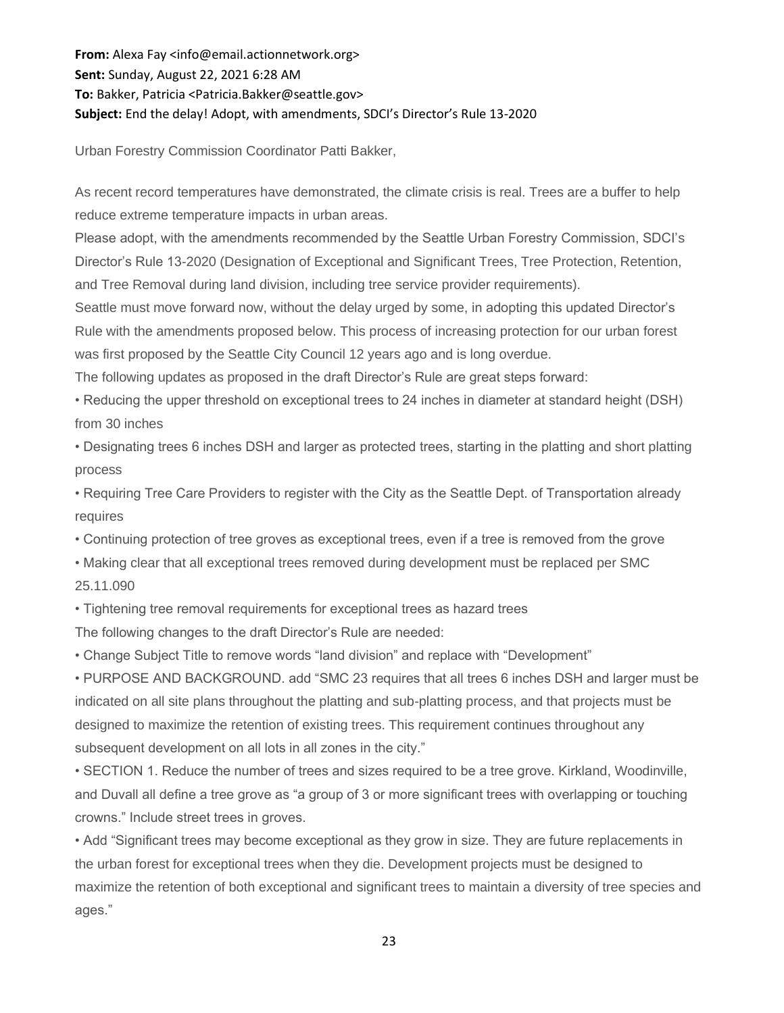**From:** Alexa Fay <info@email.actionnetwork.org> **Sent:** Sunday, August 22, 2021 6:28 AM **To:** Bakker, Patricia <Patricia.Bakker@seattle.gov> **Subject:** End the delay! Adopt, with amendments, SDCI's Director's Rule 13-2020

Urban Forestry Commission Coordinator Patti Bakker,

As recent record temperatures have demonstrated, the climate crisis is real. Trees are a buffer to help reduce extreme temperature impacts in urban areas.

Please adopt, with the amendments recommended by the Seattle Urban Forestry Commission, SDCI's Director's Rule 13-2020 (Designation of Exceptional and Significant Trees, Tree Protection, Retention, and Tree Removal during land division, including tree service provider requirements).

Seattle must move forward now, without the delay urged by some, in adopting this updated Director's Rule with the amendments proposed below. This process of increasing protection for our urban forest was first proposed by the Seattle City Council 12 years ago and is long overdue.

The following updates as proposed in the draft Director's Rule are great steps forward:

• Reducing the upper threshold on exceptional trees to 24 inches in diameter at standard height (DSH) from 30 inches

• Designating trees 6 inches DSH and larger as protected trees, starting in the platting and short platting process

• Requiring Tree Care Providers to register with the City as the Seattle Dept. of Transportation already requires

• Continuing protection of tree groves as exceptional trees, even if a tree is removed from the grove

• Making clear that all exceptional trees removed during development must be replaced per SMC 25.11.090

• Tightening tree removal requirements for exceptional trees as hazard trees

The following changes to the draft Director's Rule are needed:

• Change Subject Title to remove words "land division" and replace with "Development"

• PURPOSE AND BACKGROUND. add "SMC 23 requires that all trees 6 inches DSH and larger must be indicated on all site plans throughout the platting and sub-platting process, and that projects must be designed to maximize the retention of existing trees. This requirement continues throughout any subsequent development on all lots in all zones in the city."

• SECTION 1. Reduce the number of trees and sizes required to be a tree grove. Kirkland, Woodinville, and Duvall all define a tree grove as "a group of 3 or more significant trees with overlapping or touching crowns." Include street trees in groves.

• Add "Significant trees may become exceptional as they grow in size. They are future replacements in the urban forest for exceptional trees when they die. Development projects must be designed to maximize the retention of both exceptional and significant trees to maintain a diversity of tree species and ages."

23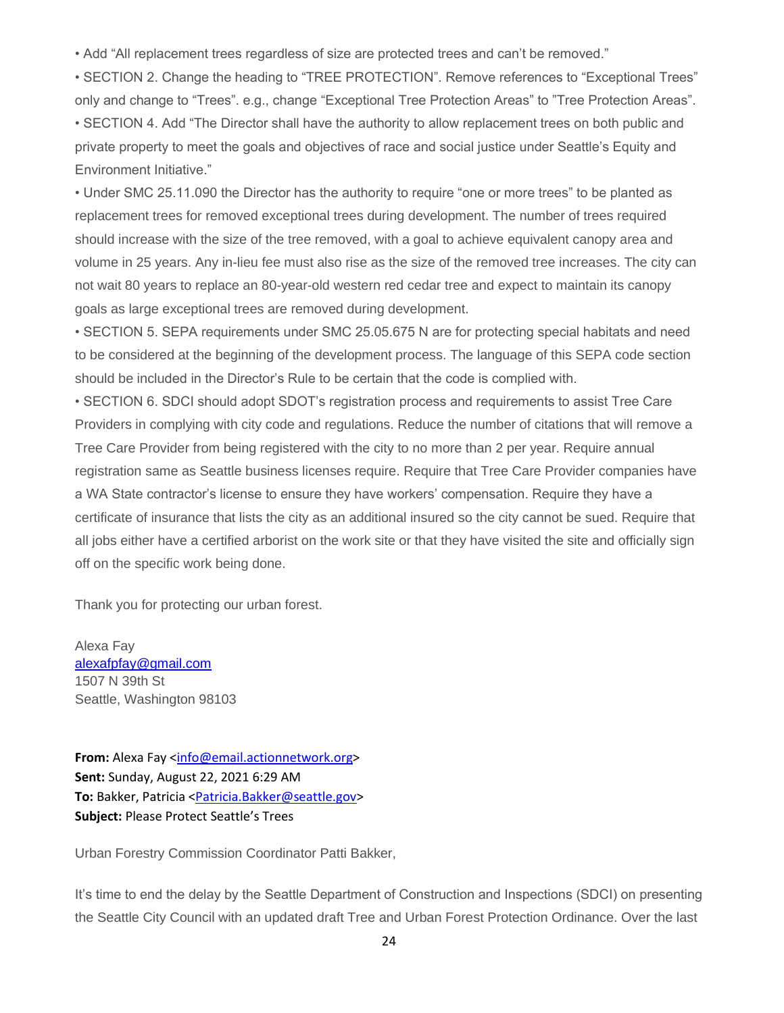• Add "All replacement trees regardless of size are protected trees and can't be removed."

• SECTION 2. Change the heading to "TREE PROTECTION". Remove references to "Exceptional Trees" only and change to "Trees". e.g., change "Exceptional Tree Protection Areas" to "Tree Protection Areas". • SECTION 4. Add "The Director shall have the authority to allow replacement trees on both public and private property to meet the goals and objectives of race and social justice under Seattle's Equity and Environment Initiative."

• Under SMC 25.11.090 the Director has the authority to require "one or more trees" to be planted as replacement trees for removed exceptional trees during development. The number of trees required should increase with the size of the tree removed, with a goal to achieve equivalent canopy area and volume in 25 years. Any in-lieu fee must also rise as the size of the removed tree increases. The city can not wait 80 years to replace an 80-year-old western red cedar tree and expect to maintain its canopy goals as large exceptional trees are removed during development.

• SECTION 5. SEPA requirements under SMC 25.05.675 N are for protecting special habitats and need to be considered at the beginning of the development process. The language of this SEPA code section should be included in the Director's Rule to be certain that the code is complied with.

• SECTION 6. SDCI should adopt SDOT's registration process and requirements to assist Tree Care Providers in complying with city code and regulations. Reduce the number of citations that will remove a Tree Care Provider from being registered with the city to no more than 2 per year. Require annual registration same as Seattle business licenses require. Require that Tree Care Provider companies have a WA State contractor's license to ensure they have workers' compensation. Require they have a certificate of insurance that lists the city as an additional insured so the city cannot be sued. Require that all jobs either have a certified arborist on the work site or that they have visited the site and officially sign off on the specific work being done.

Thank you for protecting our urban forest.

Alexa Fay [alexafpfay@gmail.com](mailto:alexafpfay@gmail.com) 1507 N 39th St Seattle, Washington 98103

From: Alexa Fay [<info@email.actionnetwork.org>](mailto:info@email.actionnetwork.org) **Sent:** Sunday, August 22, 2021 6:29 AM **To:** Bakker, Patricia [<Patricia.Bakker@seattle.gov>](mailto:Patricia.Bakker@seattle.gov) **Subject:** Please Protect Seattle's Trees

Urban Forestry Commission Coordinator Patti Bakker,

It's time to end the delay by the Seattle Department of Construction and Inspections (SDCI) on presenting the Seattle City Council with an updated draft Tree and Urban Forest Protection Ordinance. Over the last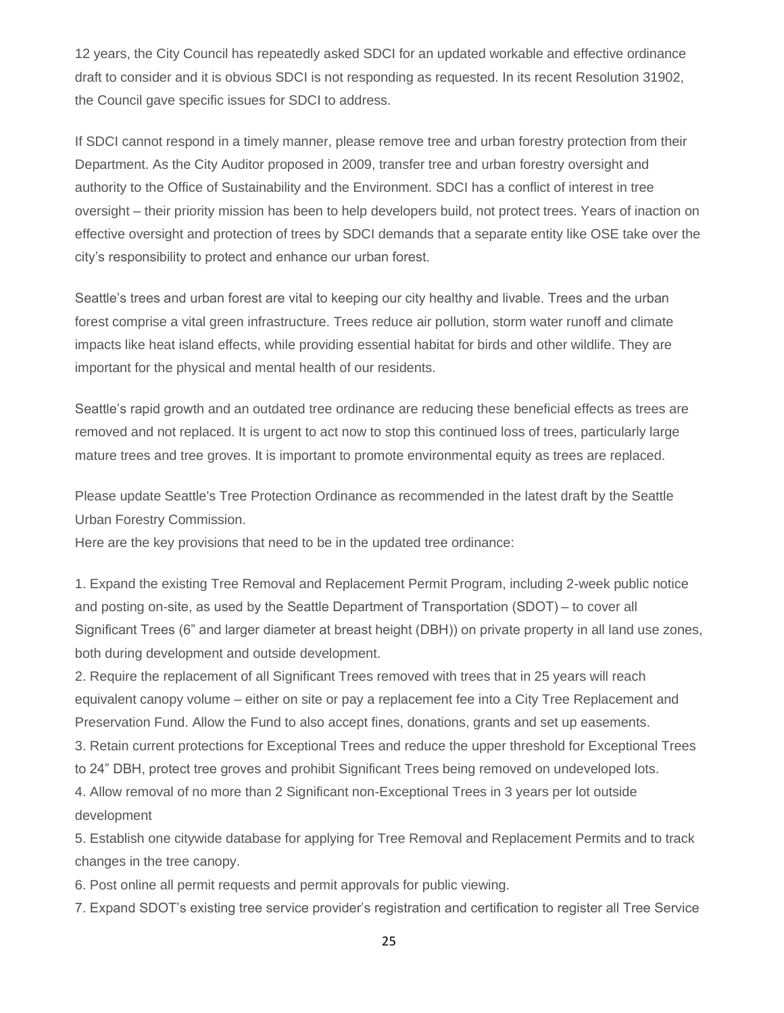12 years, the City Council has repeatedly asked SDCI for an updated workable and effective ordinance draft to consider and it is obvious SDCI is not responding as requested. In its recent Resolution 31902, the Council gave specific issues for SDCI to address.

If SDCI cannot respond in a timely manner, please remove tree and urban forestry protection from their Department. As the City Auditor proposed in 2009, transfer tree and urban forestry oversight and authority to the Office of Sustainability and the Environment. SDCI has a conflict of interest in tree oversight – their priority mission has been to help developers build, not protect trees. Years of inaction on effective oversight and protection of trees by SDCI demands that a separate entity like OSE take over the city's responsibility to protect and enhance our urban forest.

Seattle's trees and urban forest are vital to keeping our city healthy and livable. Trees and the urban forest comprise a vital green infrastructure. Trees reduce air pollution, storm water runoff and climate impacts like heat island effects, while providing essential habitat for birds and other wildlife. They are important for the physical and mental health of our residents.

Seattle's rapid growth and an outdated tree ordinance are reducing these beneficial effects as trees are removed and not replaced. It is urgent to act now to stop this continued loss of trees, particularly large mature trees and tree groves. It is important to promote environmental equity as trees are replaced.

Please update Seattle's Tree Protection Ordinance as recommended in the latest draft by the Seattle Urban Forestry Commission.

Here are the key provisions that need to be in the updated tree ordinance:

1. Expand the existing Tree Removal and Replacement Permit Program, including 2-week public notice and posting on-site, as used by the Seattle Department of Transportation (SDOT) – to cover all Significant Trees (6" and larger diameter at breast height (DBH)) on private property in all land use zones, both during development and outside development.

2. Require the replacement of all Significant Trees removed with trees that in 25 years will reach equivalent canopy volume – either on site or pay a replacement fee into a City Tree Replacement and Preservation Fund. Allow the Fund to also accept fines, donations, grants and set up easements.

3. Retain current protections for Exceptional Trees and reduce the upper threshold for Exceptional Trees to 24" DBH, protect tree groves and prohibit Significant Trees being removed on undeveloped lots.

4. Allow removal of no more than 2 Significant non-Exceptional Trees in 3 years per lot outside development

5. Establish one citywide database for applying for Tree Removal and Replacement Permits and to track changes in the tree canopy.

6. Post online all permit requests and permit approvals for public viewing.

7. Expand SDOT's existing tree service provider's registration and certification to register all Tree Service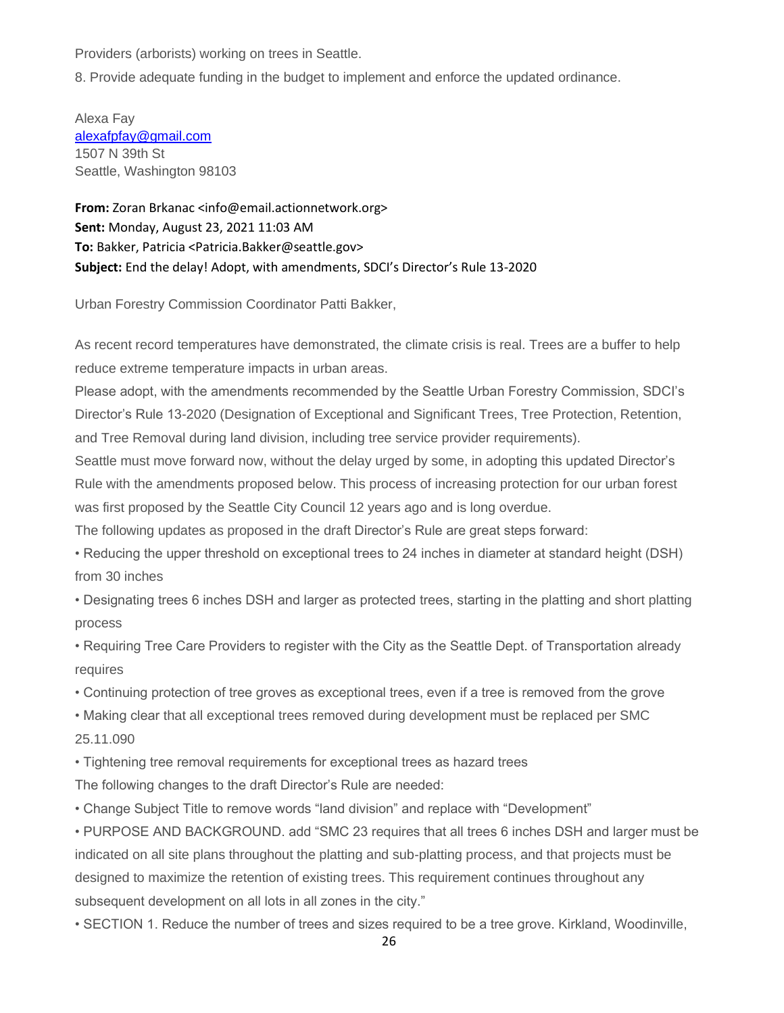Providers (arborists) working on trees in Seattle.

8. Provide adequate funding in the budget to implement and enforce the updated ordinance.

Alexa Fay [alexafpfay@gmail.com](mailto:alexafpfay@gmail.com) 1507 N 39th St Seattle, Washington 98103

**From:** Zoran Brkanac <info@email.actionnetwork.org> **Sent:** Monday, August 23, 2021 11:03 AM **To:** Bakker, Patricia <Patricia.Bakker@seattle.gov> **Subject:** End the delay! Adopt, with amendments, SDCI's Director's Rule 13-2020

Urban Forestry Commission Coordinator Patti Bakker,

As recent record temperatures have demonstrated, the climate crisis is real. Trees are a buffer to help reduce extreme temperature impacts in urban areas.

Please adopt, with the amendments recommended by the Seattle Urban Forestry Commission, SDCI's Director's Rule 13-2020 (Designation of Exceptional and Significant Trees, Tree Protection, Retention, and Tree Removal during land division, including tree service provider requirements).

Seattle must move forward now, without the delay urged by some, in adopting this updated Director's Rule with the amendments proposed below. This process of increasing protection for our urban forest was first proposed by the Seattle City Council 12 years ago and is long overdue.

The following updates as proposed in the draft Director's Rule are great steps forward:

• Reducing the upper threshold on exceptional trees to 24 inches in diameter at standard height (DSH) from 30 inches

• Designating trees 6 inches DSH and larger as protected trees, starting in the platting and short platting process

• Requiring Tree Care Providers to register with the City as the Seattle Dept. of Transportation already requires

• Continuing protection of tree groves as exceptional trees, even if a tree is removed from the grove

• Making clear that all exceptional trees removed during development must be replaced per SMC 25.11.090

• Tightening tree removal requirements for exceptional trees as hazard trees

The following changes to the draft Director's Rule are needed:

• Change Subject Title to remove words "land division" and replace with "Development"

• PURPOSE AND BACKGROUND. add "SMC 23 requires that all trees 6 inches DSH and larger must be indicated on all site plans throughout the platting and sub-platting process, and that projects must be designed to maximize the retention of existing trees. This requirement continues throughout any subsequent development on all lots in all zones in the city."

• SECTION 1. Reduce the number of trees and sizes required to be a tree grove. Kirkland, Woodinville,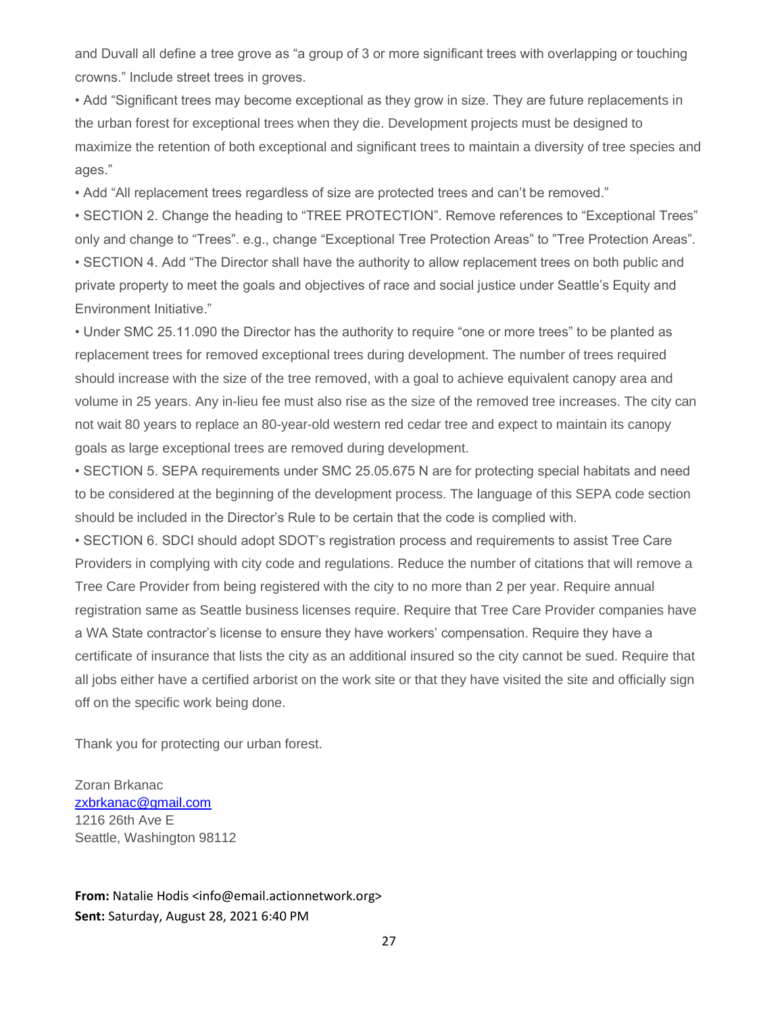and Duvall all define a tree grove as "a group of 3 or more significant trees with overlapping or touching crowns." Include street trees in groves.

• Add "Significant trees may become exceptional as they grow in size. They are future replacements in the urban forest for exceptional trees when they die. Development projects must be designed to maximize the retention of both exceptional and significant trees to maintain a diversity of tree species and ages."

• Add "All replacement trees regardless of size are protected trees and can't be removed."

• SECTION 2. Change the heading to "TREE PROTECTION". Remove references to "Exceptional Trees" only and change to "Trees". e.g., change "Exceptional Tree Protection Areas" to "Tree Protection Areas". • SECTION 4. Add "The Director shall have the authority to allow replacement trees on both public and private property to meet the goals and objectives of race and social justice under Seattle's Equity and Environment Initiative."

• Under SMC 25.11.090 the Director has the authority to require "one or more trees" to be planted as replacement trees for removed exceptional trees during development. The number of trees required should increase with the size of the tree removed, with a goal to achieve equivalent canopy area and volume in 25 years. Any in-lieu fee must also rise as the size of the removed tree increases. The city can not wait 80 years to replace an 80-year-old western red cedar tree and expect to maintain its canopy goals as large exceptional trees are removed during development.

• SECTION 5. SEPA requirements under SMC 25.05.675 N are for protecting special habitats and need to be considered at the beginning of the development process. The language of this SEPA code section should be included in the Director's Rule to be certain that the code is complied with.

• SECTION 6. SDCI should adopt SDOT's registration process and requirements to assist Tree Care Providers in complying with city code and regulations. Reduce the number of citations that will remove a Tree Care Provider from being registered with the city to no more than 2 per year. Require annual registration same as Seattle business licenses require. Require that Tree Care Provider companies have a WA State contractor's license to ensure they have workers' compensation. Require they have a certificate of insurance that lists the city as an additional insured so the city cannot be sued. Require that all jobs either have a certified arborist on the work site or that they have visited the site and officially sign off on the specific work being done.

Thank you for protecting our urban forest.

Zoran Brkanac [zxbrkanac@gmail.com](mailto:zxbrkanac@gmail.com) 1216 26th Ave E Seattle, Washington 98112

**From:** Natalie Hodis <info@email.actionnetwork.org> **Sent:** Saturday, August 28, 2021 6:40 PM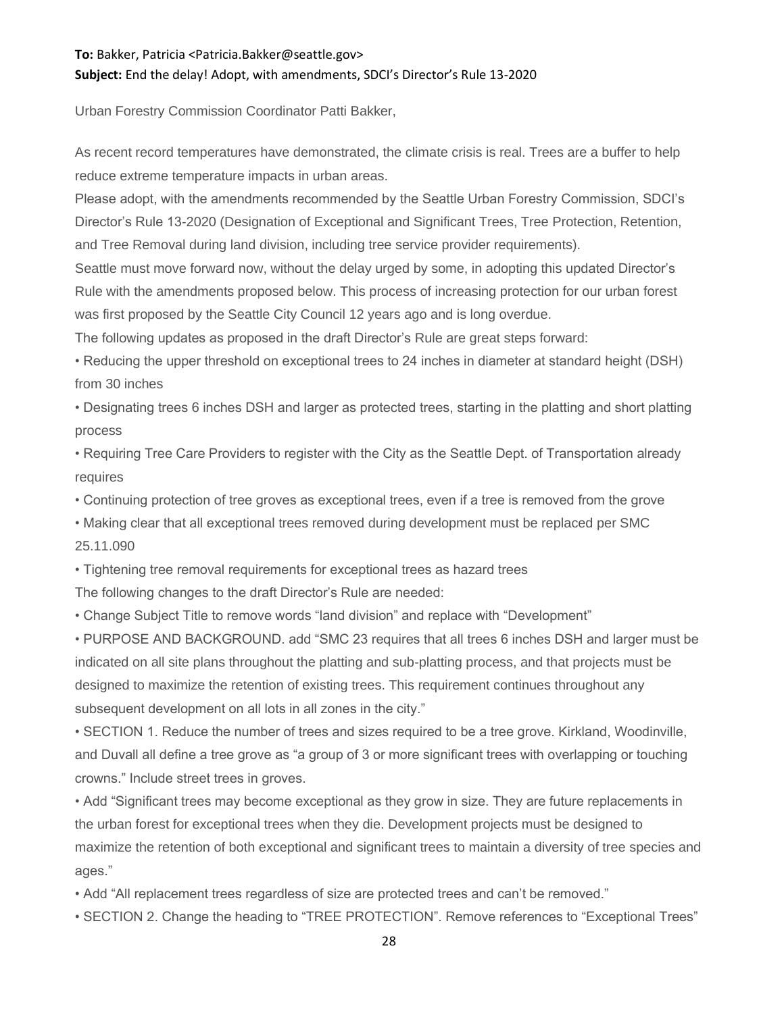#### **To:** Bakker, Patricia <Patricia.Bakker@seattle.gov>

### **Subject:** End the delay! Adopt, with amendments, SDCI's Director's Rule 13-2020

Urban Forestry Commission Coordinator Patti Bakker,

As recent record temperatures have demonstrated, the climate crisis is real. Trees are a buffer to help reduce extreme temperature impacts in urban areas.

Please adopt, with the amendments recommended by the Seattle Urban Forestry Commission, SDCI's Director's Rule 13-2020 (Designation of Exceptional and Significant Trees, Tree Protection, Retention, and Tree Removal during land division, including tree service provider requirements).

Seattle must move forward now, without the delay urged by some, in adopting this updated Director's Rule with the amendments proposed below. This process of increasing protection for our urban forest was first proposed by the Seattle City Council 12 years ago and is long overdue.

The following updates as proposed in the draft Director's Rule are great steps forward:

• Reducing the upper threshold on exceptional trees to 24 inches in diameter at standard height (DSH) from 30 inches

• Designating trees 6 inches DSH and larger as protected trees, starting in the platting and short platting process

• Requiring Tree Care Providers to register with the City as the Seattle Dept. of Transportation already requires

• Continuing protection of tree groves as exceptional trees, even if a tree is removed from the grove

• Making clear that all exceptional trees removed during development must be replaced per SMC 25.11.090

• Tightening tree removal requirements for exceptional trees as hazard trees

The following changes to the draft Director's Rule are needed:

• Change Subject Title to remove words "land division" and replace with "Development"

• PURPOSE AND BACKGROUND. add "SMC 23 requires that all trees 6 inches DSH and larger must be indicated on all site plans throughout the platting and sub-platting process, and that projects must be designed to maximize the retention of existing trees. This requirement continues throughout any subsequent development on all lots in all zones in the city."

• SECTION 1. Reduce the number of trees and sizes required to be a tree grove. Kirkland, Woodinville, and Duvall all define a tree grove as "a group of 3 or more significant trees with overlapping or touching crowns." Include street trees in groves.

• Add "Significant trees may become exceptional as they grow in size. They are future replacements in the urban forest for exceptional trees when they die. Development projects must be designed to maximize the retention of both exceptional and significant trees to maintain a diversity of tree species and ages."

• Add "All replacement trees regardless of size are protected trees and can't be removed."

• SECTION 2. Change the heading to "TREE PROTECTION". Remove references to "Exceptional Trees"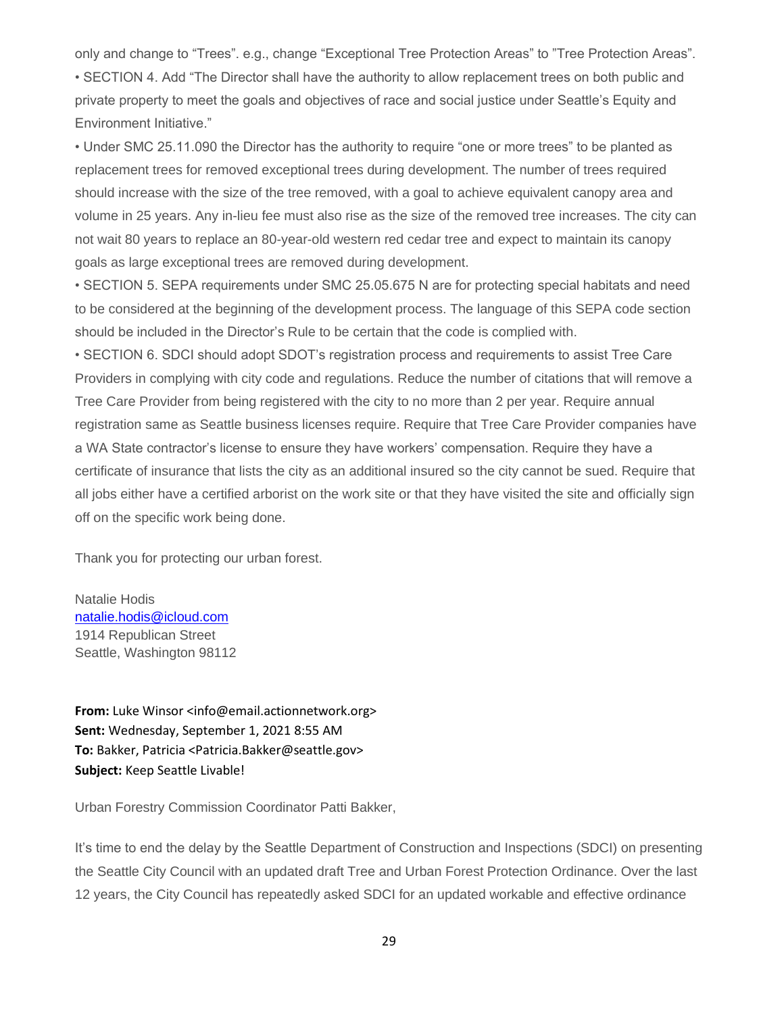only and change to "Trees". e.g., change "Exceptional Tree Protection Areas" to "Tree Protection Areas". • SECTION 4. Add "The Director shall have the authority to allow replacement trees on both public and private property to meet the goals and objectives of race and social justice under Seattle's Equity and Environment Initiative."

• Under SMC 25.11.090 the Director has the authority to require "one or more trees" to be planted as replacement trees for removed exceptional trees during development. The number of trees required should increase with the size of the tree removed, with a goal to achieve equivalent canopy area and volume in 25 years. Any in-lieu fee must also rise as the size of the removed tree increases. The city can not wait 80 years to replace an 80-year-old western red cedar tree and expect to maintain its canopy goals as large exceptional trees are removed during development.

• SECTION 5. SEPA requirements under SMC 25.05.675 N are for protecting special habitats and need to be considered at the beginning of the development process. The language of this SEPA code section should be included in the Director's Rule to be certain that the code is complied with.

• SECTION 6. SDCI should adopt SDOT's registration process and requirements to assist Tree Care Providers in complying with city code and regulations. Reduce the number of citations that will remove a Tree Care Provider from being registered with the city to no more than 2 per year. Require annual registration same as Seattle business licenses require. Require that Tree Care Provider companies have a WA State contractor's license to ensure they have workers' compensation. Require they have a certificate of insurance that lists the city as an additional insured so the city cannot be sued. Require that all jobs either have a certified arborist on the work site or that they have visited the site and officially sign off on the specific work being done.

Thank you for protecting our urban forest.

Natalie Hodis [natalie.hodis@icloud.com](mailto:natalie.hodis@icloud.com) 1914 Republican Street Seattle, Washington 98112

**From:** Luke Winsor <info@email.actionnetwork.org> **Sent:** Wednesday, September 1, 2021 8:55 AM **To:** Bakker, Patricia <Patricia.Bakker@seattle.gov> **Subject:** Keep Seattle Livable!

Urban Forestry Commission Coordinator Patti Bakker,

It's time to end the delay by the Seattle Department of Construction and Inspections (SDCI) on presenting the Seattle City Council with an updated draft Tree and Urban Forest Protection Ordinance. Over the last 12 years, the City Council has repeatedly asked SDCI for an updated workable and effective ordinance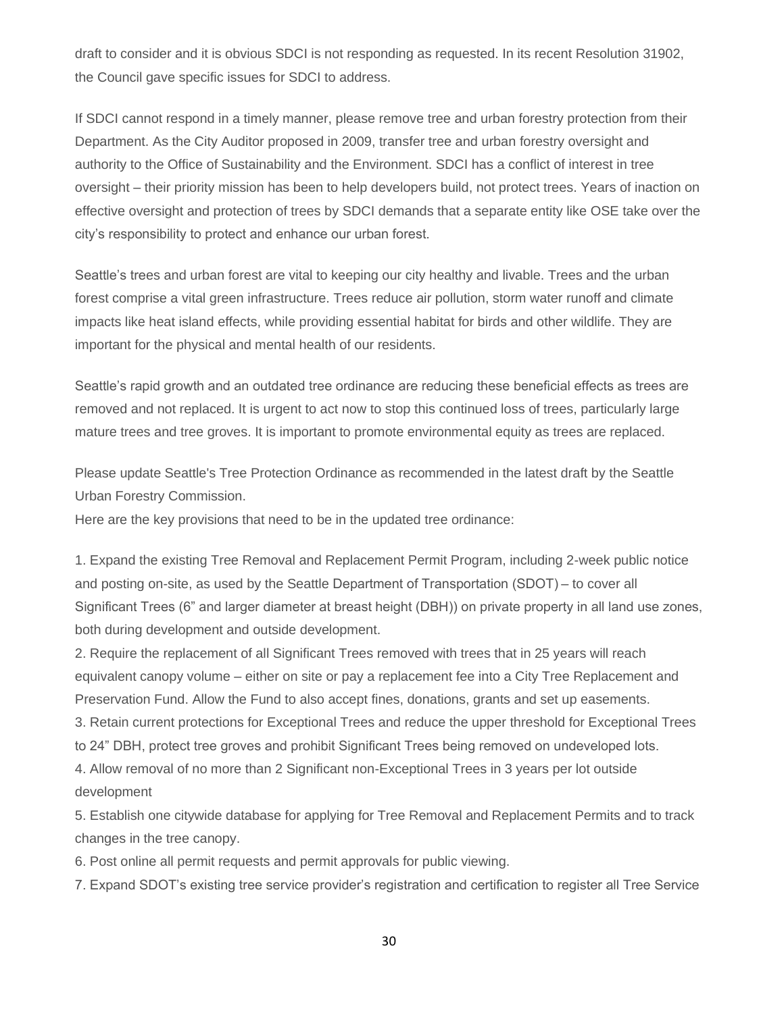draft to consider and it is obvious SDCI is not responding as requested. In its recent Resolution 31902, the Council gave specific issues for SDCI to address.

If SDCI cannot respond in a timely manner, please remove tree and urban forestry protection from their Department. As the City Auditor proposed in 2009, transfer tree and urban forestry oversight and authority to the Office of Sustainability and the Environment. SDCI has a conflict of interest in tree oversight – their priority mission has been to help developers build, not protect trees. Years of inaction on effective oversight and protection of trees by SDCI demands that a separate entity like OSE take over the city's responsibility to protect and enhance our urban forest.

Seattle's trees and urban forest are vital to keeping our city healthy and livable. Trees and the urban forest comprise a vital green infrastructure. Trees reduce air pollution, storm water runoff and climate impacts like heat island effects, while providing essential habitat for birds and other wildlife. They are important for the physical and mental health of our residents.

Seattle's rapid growth and an outdated tree ordinance are reducing these beneficial effects as trees are removed and not replaced. It is urgent to act now to stop this continued loss of trees, particularly large mature trees and tree groves. It is important to promote environmental equity as trees are replaced.

Please update Seattle's Tree Protection Ordinance as recommended in the latest draft by the Seattle Urban Forestry Commission.

Here are the key provisions that need to be in the updated tree ordinance:

1. Expand the existing Tree Removal and Replacement Permit Program, including 2-week public notice and posting on-site, as used by the Seattle Department of Transportation (SDOT) – to cover all Significant Trees (6" and larger diameter at breast height (DBH)) on private property in all land use zones, both during development and outside development.

2. Require the replacement of all Significant Trees removed with trees that in 25 years will reach equivalent canopy volume – either on site or pay a replacement fee into a City Tree Replacement and Preservation Fund. Allow the Fund to also accept fines, donations, grants and set up easements.

3. Retain current protections for Exceptional Trees and reduce the upper threshold for Exceptional Trees to 24" DBH, protect tree groves and prohibit Significant Trees being removed on undeveloped lots.

4. Allow removal of no more than 2 Significant non-Exceptional Trees in 3 years per lot outside development

5. Establish one citywide database for applying for Tree Removal and Replacement Permits and to track changes in the tree canopy.

6. Post online all permit requests and permit approvals for public viewing.

7. Expand SDOT's existing tree service provider's registration and certification to register all Tree Service